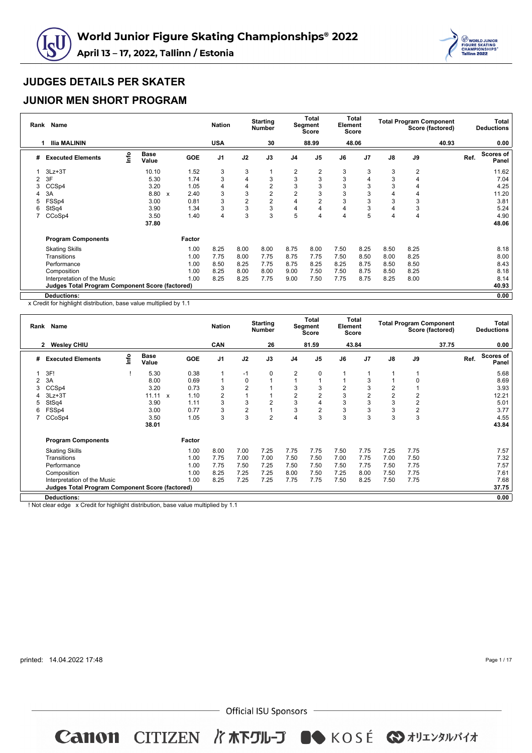



### **JUNIOR MEN SHORT PROGRAM**

| Rank | Name                                                   |      |                      |                           |            | <b>Nation</b>  |                | <b>Starting</b><br><b>Number</b> |                | <b>Total</b><br>Segment<br><b>Score</b> | Element | <b>Total</b><br><b>Score</b> |      | <b>Total Program Component</b> | Score (factored) |      | Total<br><b>Deductions</b> |
|------|--------------------------------------------------------|------|----------------------|---------------------------|------------|----------------|----------------|----------------------------------|----------------|-----------------------------------------|---------|------------------------------|------|--------------------------------|------------------|------|----------------------------|
|      | Ilia MALININ                                           |      |                      |                           |            | <b>USA</b>     |                | 30                               |                | 88.99                                   |         | 48.06                        |      |                                | 40.93            |      | 0.00                       |
| #    | <b>Executed Elements</b>                               | lnfo | <b>Base</b><br>Value |                           | <b>GOE</b> | J <sub>1</sub> | J2             | J3                               | J <sub>4</sub> | J <sub>5</sub>                          | J6      | J7                           | J8   | J9                             |                  | Ref. | Scores of<br>Panel         |
|      | $3Lz + 3T$                                             |      | 10.10                |                           | 1.52       | 3              | 3              |                                  | $\overline{2}$ | 2                                       | 3       | 3                            | 3    | 2                              |                  |      | 11.62                      |
| 2    | 3F                                                     |      | 5.30                 |                           | 1.74       | 3              | 4              | 3                                | 3              | 3                                       | 3       |                              | 3    | 4                              |                  |      | 7.04                       |
| 3    | CCSp4                                                  |      | 3.20                 |                           | 1.05       | 4              | 4              | 2                                | 3              | 3                                       | 3       | 3                            | 3    | 4                              |                  |      | 4.25                       |
|      | 3A                                                     |      | 8.80                 | $\boldsymbol{\mathsf{x}}$ | 2.40       | 3              | 3              | $\overline{2}$                   | $\overline{2}$ | 3                                       | 3       | 3                            | 4    | 4                              |                  |      | 11.20                      |
| 5    | FSSp4                                                  |      | 3.00                 |                           | 0.81       | 3              | $\overline{2}$ | 2                                | 4              | $\overline{2}$                          | 3       | 3                            | 3    | 3                              |                  |      | 3.81                       |
| 6    | StSq4                                                  |      | 3.90                 |                           | 1.34       | 3              | 3              | 3                                | $\overline{4}$ | 4                                       |         | 3                            | 4    | 3                              |                  |      | 5.24                       |
|      | CCoSp4                                                 |      | 3.50                 |                           | 1.40       | 4              | 3              | 3                                | 5              | $\overline{4}$                          |         | 5                            | 4    | 4                              |                  |      | 4.90                       |
|      |                                                        |      | 37.80                |                           |            |                |                |                                  |                |                                         |         |                              |      |                                |                  |      | 48.06                      |
|      | <b>Program Components</b>                              |      |                      |                           | Factor     |                |                |                                  |                |                                         |         |                              |      |                                |                  |      |                            |
|      | <b>Skating Skills</b>                                  |      |                      |                           | 1.00       | 8.25           | 8.00           | 8.00                             | 8.75           | 8.00                                    | 7.50    | 8.25                         | 8.50 | 8.25                           |                  |      | 8.18                       |
|      | Transitions                                            |      |                      |                           | 1.00       | 7.75           | 8.00           | 7.75                             | 8.75           | 7.75                                    | 7.50    | 8.50                         | 8.00 | 8.25                           |                  |      | 8.00                       |
|      | Performance                                            |      |                      |                           | 1.00       | 8.50           | 8.25           | 7.75                             | 8.75           | 8.25                                    | 8.25    | 8.75                         | 8.50 | 8.50                           |                  |      | 8.43                       |
|      | Composition                                            |      |                      |                           | 1.00       | 8.25           | 8.00           | 8.00                             | 9.00           | 7.50                                    | 7.50    | 8.75                         | 8.50 | 8.25                           |                  |      | 8.18                       |
|      | Interpretation of the Music                            |      |                      |                           | 1.00       | 8.25           | 8.25           | 7.75                             | 9.00           | 7.50                                    | 7.75    | 8.75                         | 8.25 | 8.00                           |                  |      | 8.14                       |
|      | <b>Judges Total Program Component Score (factored)</b> |      |                      |                           |            |                |                |                                  |                |                                         |         |                              |      |                                |                  |      | 40.93                      |
|      | Deductions:                                            |      |                      |                           |            |                |                |                                  |                |                                         |         |                              |      |                                |                  |      | 0.00                       |

x Credit for highlight distribution, base value multiplied by 1.1

| Rank           | <b>Name</b>                                            |      |                      |                           |        | <b>Nation</b>  |                | <b>Starting</b><br><b>Number</b> |                | <b>Total</b><br>Segment<br>Score | Element        | <b>Total</b><br><b>Score</b> |                | <b>Total Program Component</b> | Score (factored) |      | Total<br><b>Deductions</b> |
|----------------|--------------------------------------------------------|------|----------------------|---------------------------|--------|----------------|----------------|----------------------------------|----------------|----------------------------------|----------------|------------------------------|----------------|--------------------------------|------------------|------|----------------------------|
|                | <b>Wesley CHIU</b><br>$\mathbf{2}$                     |      |                      |                           |        | CAN            |                | 26                               |                | 81.59                            |                | 43.84                        |                |                                | 37.75            |      | 0.00                       |
| #              | <b>Executed Elements</b>                               | lnfo | <b>Base</b><br>Value |                           | GOE    | J <sub>1</sub> | J2             | J3                               | J <sub>4</sub> | J <sub>5</sub>                   | J6             | J7                           | $\mathsf{J}8$  | J9                             |                  | Ref. | <b>Scores of</b><br>Panel  |
|                | 3F!                                                    |      | 5.30                 |                           | 0.38   | 1              | $-1$           | 0                                | $\overline{2}$ | $\Omega$                         |                |                              |                |                                |                  |      | 5.68                       |
| $\overline{2}$ | 3A                                                     |      | 8.00                 |                           | 0.69   | 1              | 0              |                                  |                |                                  |                | 3                            |                | $\Omega$                       |                  |      | 8.69                       |
| 3              | CCSp4                                                  |      | 3.20                 |                           | 0.73   | 3              | $\overline{2}$ |                                  | 3              |                                  | $\overline{2}$ | 3                            | 2              |                                |                  |      | 3.93                       |
|                | $3Lz + 3T$                                             |      | 11.11                | $\boldsymbol{\mathsf{x}}$ | 1.10   | $\overline{2}$ |                |                                  | $\overline{2}$ |                                  | 3              | 2                            | $\overline{2}$ | $\overline{2}$                 |                  |      | 12.21                      |
| 5              | StSq4                                                  |      | 3.90                 |                           | 1.11   | 3              | 3              | $\overline{2}$                   | 3              |                                  | 3              | 3                            | 3              | $\overline{2}$                 |                  |      | 5.01                       |
| 6              | FSSp4                                                  |      | 3.00                 |                           | 0.77   | 3              | $\overline{c}$ |                                  | 3              |                                  | 3              | 3                            | 3              | $\overline{c}$                 |                  |      | 3.77                       |
|                | CCoSp4                                                 |      | 3.50                 |                           | 1.05   | 3              | 3              | $\overline{2}$                   | $\overline{4}$ | 3                                | 3              | 3                            | 3              | 3                              |                  |      | 4.55                       |
|                |                                                        |      | 38.01                |                           |        |                |                |                                  |                |                                  |                |                              |                |                                |                  |      | 43.84                      |
|                | <b>Program Components</b>                              |      |                      |                           | Factor |                |                |                                  |                |                                  |                |                              |                |                                |                  |      |                            |
|                | <b>Skating Skills</b>                                  |      |                      |                           | 1.00   | 8.00           | 7.00           | 7.25                             | 7.75           | 7.75                             | 7.50           | 7.75                         | 7.25           | 7.75                           |                  |      | 7.57                       |
|                | Transitions                                            |      |                      |                           | 1.00   | 7.75           | 7.00           | 7.00                             | 7.50           | 7.50                             | 7.00           | 7.75                         | 7.00           | 7.50                           |                  |      | 7.32                       |
|                | Performance                                            |      |                      |                           | 1.00   | 7.75           | 7.50           | 7.25                             | 7.50           | 7.50                             | 7.50           | 7.75                         | 7.50           | 7.75                           |                  |      | 7.57                       |
|                | Composition                                            |      |                      |                           | 1.00   | 8.25           | 7.25           | 7.25                             | 8.00           | 7.50                             | 7.25           | 8.00                         | 7.50           | 7.75                           |                  |      | 7.61                       |
|                | Interpretation of the Music                            |      |                      |                           | 1.00   | 8.25           | 7.25           | 7.25                             | 7.75           | 7.75                             | 7.50           | 8.25                         | 7.50           | 7.75                           |                  |      | 7.68                       |
|                | <b>Judges Total Program Component Score (factored)</b> |      |                      |                           |        |                |                |                                  |                |                                  |                |                              |                |                                |                  |      | 37.75                      |
|                | <b>Deductions:</b>                                     |      |                      |                           |        |                |                |                                  |                |                                  |                |                              |                |                                |                  |      | 0.00                       |

! Not clear edge x Credit for highlight distribution, base value multiplied by 1.1

printed: 14.04.2022 17:48

Page 1 / 17

 $-$  Official ISU Sponsors  $-$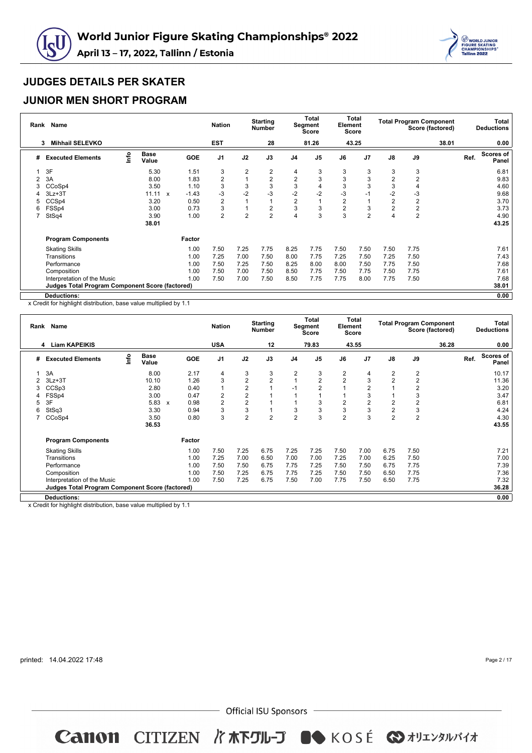



### **JUNIOR MEN SHORT PROGRAM**

| Rank | <b>Name</b>                                            |      |                       |            | <b>Nation</b>  |                | <b>Starting</b><br><b>Number</b> |                | <b>Total</b><br>Segment<br><b>Score</b> | Element        | Total<br><b>Score</b> |                | <b>Total Program Component</b> | Score (factored) |      | Total<br><b>Deductions</b> |
|------|--------------------------------------------------------|------|-----------------------|------------|----------------|----------------|----------------------------------|----------------|-----------------------------------------|----------------|-----------------------|----------------|--------------------------------|------------------|------|----------------------------|
|      | <b>Mihhail SELEVKO</b><br>3                            |      |                       |            | <b>EST</b>     |                | 28                               |                | 81.26                                   |                | 43.25                 |                |                                | 38.01            |      | 0.00                       |
| #    | <b>Executed Elements</b>                               | lnfo | <b>Base</b><br>Value  | <b>GOE</b> | J <sub>1</sub> | J2             | J3                               | J <sub>4</sub> | J <sub>5</sub>                          | J6             | J7                    | $\mathsf{J}8$  | J9                             |                  | Ref. | <b>Scores of</b><br>Panel  |
|      | 3F                                                     |      | 5.30                  | 1.51       | 3              | $\overline{2}$ | 2                                | 4              | 3                                       | 3              | 3                     | 3              | 3                              |                  |      | 6.81                       |
| 2    | 3A                                                     |      | 8.00                  | 1.83       | $\overline{2}$ |                | $\overline{2}$                   | $\overline{2}$ | 3                                       | 3              | 3                     | $\overline{2}$ | $\overline{2}$                 |                  |      | 9.83                       |
|      | CCoSp4                                                 |      | 3.50                  | 1.10       | 3              | 3              | 3                                | 3              |                                         | 3              | 3                     | 3              | 4                              |                  |      | 4.60                       |
|      | $3Lz + 3T$                                             |      | 11.11<br>$\mathbf{x}$ | $-1.43$    | -3             | $-2$           | $-3$                             | $-2$           | $-2$                                    | -3             | $-1$                  | $-2$           | $-3$                           |                  |      | 9.68                       |
| 5    | CCSp4                                                  |      | 3.20                  | 0.50       | $\overline{2}$ |                |                                  | $\overline{2}$ |                                         | $\overline{2}$ |                       | $\overline{2}$ | $\overline{2}$                 |                  |      | 3.70                       |
| 6    | FSSp4                                                  |      | 3.00                  | 0.73       | 3              |                | $\overline{2}$                   | 3              | 3                                       | 2              | 3                     | $\overline{2}$ | $\overline{2}$                 |                  |      | 3.73                       |
|      | StSq4                                                  |      | 3.90                  | 1.00       | $\overline{2}$ | $\overline{2}$ | $\overline{2}$                   |                | 3                                       | 3              | $\overline{2}$        | 4              | $\overline{2}$                 |                  |      | 4.90                       |
|      |                                                        |      | 38.01                 |            |                |                |                                  |                |                                         |                |                       |                |                                |                  |      | 43.25                      |
|      | <b>Program Components</b>                              |      |                       | Factor     |                |                |                                  |                |                                         |                |                       |                |                                |                  |      |                            |
|      | <b>Skating Skills</b>                                  |      |                       | 1.00       | 7.50           | 7.25           | 7.75                             | 8.25           | 7.75                                    | 7.50           | 7.50                  | 7.50           | 7.75                           |                  |      | 7.61                       |
|      | Transitions                                            |      |                       | 1.00       | 7.25           | 7.00           | 7.50                             | 8.00           | 7.75                                    | 7.25           | 7.50                  | 7.25           | 7.50                           |                  |      | 7.43                       |
|      | Performance                                            |      |                       | 1.00       | 7.50           | 7.25           | 7.50                             | 8.25           | 8.00                                    | 8.00           | 7.50                  | 7.75           | 7.50                           |                  |      | 7.68                       |
|      | Composition                                            |      |                       | 1.00       | 7.50           | 7.00           | 7.50                             | 8.50           | 7.75                                    | 7.50           | 7.75                  | 7.50           | 7.75                           |                  |      | 7.61                       |
|      | Interpretation of the Music                            |      |                       | 1.00       | 7.50           | 7.00           | 7.50                             | 8.50           | 7.75                                    | 7.75           | 8.00                  | 7.75           | 7.50                           |                  |      | 7.68                       |
|      | <b>Judges Total Program Component Score (factored)</b> |      |                       |            |                |                |                                  |                |                                         |                |                       |                |                                |                  |      | 38.01                      |
|      | <b>Deductions:</b>                                     |      |                       |            |                |                |                                  |                |                                         |                |                       |                |                                |                  |      | 0.00                       |

x Credit for highlight distribution, base value multiplied by 1.1

| Rank | <b>Name</b>                                            |                                  |                      |                           |            | <b>Nation</b>  |                | <b>Starting</b><br><b>Number</b> |                | <b>Total</b><br>Segment<br><b>Score</b> | Element        | Total<br>Score |                | <b>Total Program Component</b> | Score (factored) |      | Total<br><b>Deductions</b> |
|------|--------------------------------------------------------|----------------------------------|----------------------|---------------------------|------------|----------------|----------------|----------------------------------|----------------|-----------------------------------------|----------------|----------------|----------------|--------------------------------|------------------|------|----------------------------|
|      | <b>Liam KAPEIKIS</b><br>4                              |                                  |                      |                           |            | <b>USA</b>     |                | 12                               |                | 79.83                                   |                | 43.55          |                |                                | 36.28            |      | 0.00                       |
| #    | <b>Executed Elements</b>                               | $\mathop{\mathsf{Irr}}\nolimits$ | <b>Base</b><br>Value |                           | <b>GOE</b> | J <sub>1</sub> | J2             | J3                               | J <sub>4</sub> | J <sub>5</sub>                          | J6             | J <sub>7</sub> | $\mathsf{J}8$  | J9                             |                  | Ref. | <b>Scores of</b><br>Panel  |
|      | 3A                                                     |                                  | 8.00                 |                           | 2.17       | 4              | 3              | 3                                | 2              | 3                                       | 2              | 4              | 2              | $\overline{2}$                 |                  |      | 10.17                      |
| 2    | $3Lz + 3T$                                             |                                  | 10.10                |                           | 1.26       | 3              | $\overline{2}$ | $\overline{2}$                   |                | $\overline{2}$                          | $\overline{2}$ | 3              | 2              | $\overline{2}$                 |                  |      | 11.36                      |
| 3    | CCSp3                                                  |                                  | 2.80                 |                           | 0.40       | 1              | $\overline{2}$ |                                  | $-1$           | $\overline{2}$                          |                | $\overline{2}$ |                | $\overline{2}$                 |                  |      | 3.20                       |
| 4    | FSS <sub>p4</sub>                                      |                                  | 3.00                 |                           | 0.47       | $\overline{2}$ | $\overline{2}$ |                                  |                |                                         |                | 3              |                | 3                              |                  |      | 3.47                       |
| 5    | 3F                                                     |                                  | 5.83                 | $\boldsymbol{\mathsf{x}}$ | 0.98       | $\overline{2}$ | $\overline{2}$ |                                  |                | 3                                       | $\overline{2}$ | 2              | 2              | $\overline{2}$                 |                  |      | 6.81                       |
| 6    | StSq3                                                  |                                  | 3.30                 |                           | 0.94       | 3              | 3              |                                  | 3              | 3                                       | 3              | 3              | $\overline{2}$ | 3                              |                  |      | 4.24                       |
|      | CCoSp4                                                 |                                  | 3.50                 |                           | 0.80       | 3              | $\overline{2}$ | $\overline{2}$                   | $\overline{2}$ | 3                                       | $\overline{2}$ | 3              | $\overline{2}$ | $\overline{2}$                 |                  |      | 4.30                       |
|      |                                                        |                                  | 36.53                |                           |            |                |                |                                  |                |                                         |                |                |                |                                |                  |      | 43.55                      |
|      | <b>Program Components</b>                              |                                  |                      |                           | Factor     |                |                |                                  |                |                                         |                |                |                |                                |                  |      |                            |
|      | <b>Skating Skills</b>                                  |                                  |                      |                           | 1.00       | 7.50           | 7.25           | 6.75                             | 7.25           | 7.25                                    | 7.50           | 7.00           | 6.75           | 7.50                           |                  |      | 7.21                       |
|      | Transitions                                            |                                  |                      |                           | 1.00       | 7.25           | 7.00           | 6.50                             | 7.00           | 7.00                                    | 7.25           | 7.00           | 6.25           | 7.50                           |                  |      | 7.00                       |
|      | Performance                                            |                                  |                      |                           | 1.00       | 7.50           | 7.50           | 6.75                             | 7.75           | 7.25                                    | 7.50           | 7.50           | 6.75           | 7.75                           |                  |      | 7.39                       |
|      | Composition                                            |                                  |                      |                           | 1.00       | 7.50           | 7.25           | 6.75                             | 7.75           | 7.25                                    | 7.50           | 7.50           | 6.50           | 7.75                           |                  |      | 7.36                       |
|      | Interpretation of the Music                            |                                  |                      |                           | 1.00       | 7.50           | 7.25           | 6.75                             | 7.50           | 7.00                                    | 7.75           | 7.50           | 6.50           | 7.75                           |                  |      | 7.32                       |
|      | <b>Judges Total Program Component Score (factored)</b> |                                  |                      |                           |            |                |                |                                  |                |                                         |                |                |                |                                |                  |      | 36.28                      |
|      | <b>Deductions:</b>                                     |                                  |                      |                           |            |                |                |                                  |                |                                         |                |                |                |                                |                  |      | 0.00                       |

x Credit for highlight distribution, base value multiplied by 1.1

printed: 14.04.2022 17:48

Page 2 / 17

 $-$  Official ISU Sponsors  $-$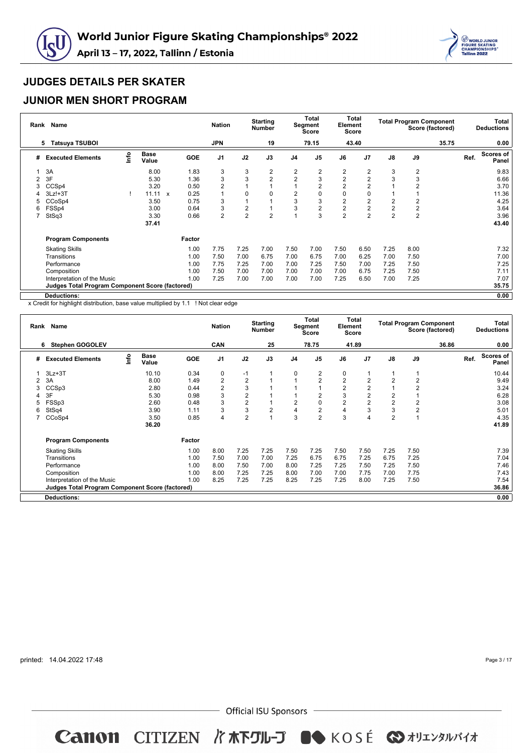



### **JUNIOR MEN SHORT PROGRAM**

| Rank | Name                                                   |      |                      |              |      | <b>Nation</b>  |                | <b>Starting</b><br><b>Number</b> |                | <b>Total</b><br>Segment<br><b>Score</b> | Element        | Total<br><b>Score</b> |                |                         | <b>Total Program Component</b><br>Score (factored) |      | Total<br><b>Deductions</b> |
|------|--------------------------------------------------------|------|----------------------|--------------|------|----------------|----------------|----------------------------------|----------------|-----------------------------------------|----------------|-----------------------|----------------|-------------------------|----------------------------------------------------|------|----------------------------|
|      | <b>Tatsuya TSUBOI</b><br>5.                            |      |                      |              |      | <b>JPN</b>     |                | 19                               |                | 79.15                                   |                | 43.40                 |                |                         | 35.75                                              |      | 0.00                       |
| #    | <b>Executed Elements</b>                               | lnfo | <b>Base</b><br>Value | <b>GOE</b>   |      | J <sub>1</sub> | J2             | J3                               | J <sub>4</sub> | J <sub>5</sub>                          | J6             | J7                    | $\mathsf{J}8$  | J9                      |                                                    | Ref. | <b>Scores of</b><br>Panel  |
|      | 3A                                                     |      | 8.00                 |              | 1.83 | 3              | 3              | 2                                | 2              | 2                                       | 2              | 2                     | 3              | 2                       |                                                    |      | 9.83                       |
| 2    | 3F                                                     |      | 5.30                 |              | 1.36 | 3              | 3              | $\overline{2}$                   | $\overline{2}$ | 3                                       | $\overline{2}$ | $\overline{2}$        | 3              | 3                       |                                                    |      | 6.66                       |
| 3    | CCSp4                                                  |      | 3.20                 |              | 0.50 | $\overline{2}$ |                |                                  |                | 2                                       | $\overline{2}$ | $\overline{2}$        |                | $\overline{2}$          |                                                    |      | 3.70                       |
|      | $3Lz! + 3T$                                            |      | 11.11                | $\mathsf{x}$ | 0.25 | 1              | 0              | 0                                | $\overline{2}$ | 0                                       | 0              | 0                     |                |                         |                                                    |      | 11.36                      |
| 5    | CCoSp4                                                 |      | 3.50                 |              | 0.75 | 3              |                |                                  | 3              | 3                                       | $\overline{2}$ | 2                     | 2              | 2                       |                                                    |      | 4.25                       |
| 6    | FSSp4                                                  |      | 3.00                 |              | 0.64 | 3              | 2              |                                  | 3              | 2                                       | $\overline{2}$ | $\overline{2}$        | $\overline{2}$ | $\overline{\mathbf{c}}$ |                                                    |      | 3.64                       |
|      | StSq3                                                  |      | 3.30                 |              | 0.66 | $\overline{2}$ | $\overline{2}$ | $\overline{2}$                   |                | 3                                       | $\overline{2}$ | $\overline{2}$        | $\overline{2}$ | $\overline{2}$          |                                                    |      | 3.96                       |
|      |                                                        |      | 37.41                |              |      |                |                |                                  |                |                                         |                |                       |                |                         |                                                    |      | 43.40                      |
|      | <b>Program Components</b>                              |      |                      | Factor       |      |                |                |                                  |                |                                         |                |                       |                |                         |                                                    |      |                            |
|      | <b>Skating Skills</b>                                  |      |                      |              | 1.00 | 7.75           | 7.25           | 7.00                             | 7.50           | 7.00                                    | 7.50           | 6.50                  | 7.25           | 8.00                    |                                                    |      | 7.32                       |
|      | Transitions                                            |      |                      |              | 1.00 | 7.50           | 7.00           | 6.75                             | 7.00           | 6.75                                    | 7.00           | 6.25                  | 7.00           | 7.50                    |                                                    |      | 7.00                       |
|      | Performance                                            |      |                      |              | 1.00 | 7.75           | 7.25           | 7.00                             | 7.00           | 7.25                                    | 7.50           | 7.00                  | 7.25           | 7.50                    |                                                    |      | 7.25                       |
|      | Composition                                            |      |                      |              | 1.00 | 7.50           | 7.00           | 7.00                             | 7.00           | 7.00                                    | 7.00           | 6.75                  | 7.25           | 7.50                    |                                                    |      | 7.11                       |
|      | Interpretation of the Music                            |      |                      |              | 1.00 | 7.25           | 7.00           | 7.00                             | 7.00           | 7.00                                    | 7.25           | 6.50                  | 7.00           | 7.25                    |                                                    |      | 7.07                       |
|      | <b>Judges Total Program Component Score (factored)</b> |      |                      |              |      |                |                |                                  |                |                                         |                |                       |                |                         |                                                    |      | 35.75                      |
|      | <b>Deductions:</b>                                     |      |                      |              |      |                |                |                                  |                |                                         |                |                       |                |                         |                                                    |      | 0.00                       |

x Credit for highlight distribution, base value multiplied by 1.1 ! Not clear edge

|   | Rank Name                                       |      |                      |        | <b>Nation</b>  |                | <b>Starting</b><br><b>Number</b> |                | <b>Total</b><br>Segment<br><b>Score</b> | Element        | Total<br><b>Score</b> |                |                | <b>Total Program Component</b><br>Score (factored) |      | Total<br><b>Deductions</b> |
|---|-------------------------------------------------|------|----------------------|--------|----------------|----------------|----------------------------------|----------------|-----------------------------------------|----------------|-----------------------|----------------|----------------|----------------------------------------------------|------|----------------------------|
|   | 6 Stephen GOGOLEV                               |      |                      |        | CAN            |                | 25                               |                | 78.75                                   |                | 41.89                 |                |                | 36.86                                              |      | 0.00                       |
| # | <b>Executed Elements</b>                        | lnfo | <b>Base</b><br>Value | GOE    | J <sub>1</sub> | J2             | J3                               | J <sub>4</sub> | J <sub>5</sub>                          | J6             | J <sub>7</sub>        | $\mathsf{J}8$  | $\mathsf{J}9$  |                                                    | Ref. | <b>Scores of</b><br>Panel  |
|   | $3Lz + 3T$                                      |      | 10.10                | 0.34   | 0              | $-1$           | 1                                | $\Omega$       | $\overline{2}$                          | 0              |                       |                |                |                                                    |      | 10.44                      |
| 2 | 3A                                              |      | 8.00                 | 1.49   | $\overline{2}$ | $\overline{2}$ |                                  |                | $\overline{2}$                          | $\overline{2}$ | $\overline{2}$        | $\overline{2}$ | $\overline{2}$ |                                                    |      | 9.49                       |
| 3 | CCS <sub>p3</sub>                               |      | 2.80                 | 0.44   | $\sqrt{2}$     | 3              |                                  |                |                                         | $\overline{2}$ | $\overline{2}$        |                | $\overline{2}$ |                                                    |      | 3.24                       |
|   | 3F                                              |      | 5.30                 | 0.98   | 3              | 2              |                                  |                | 2                                       | 3              | $\overline{2}$        | $\overline{2}$ |                |                                                    |      | 6.28                       |
| 5 | FSSp3                                           |      | 2.60                 | 0.48   | 3              | $\overline{2}$ | 1                                | 2              | 0                                       | $\overline{2}$ | $\overline{2}$        | $\overline{2}$ | 2              |                                                    |      | 3.08                       |
| 6 | StSq4                                           |      | 3.90                 | 1.11   | 3              | 3              | $\overline{2}$                   | 4              | $\overline{2}$                          |                | 3                     | 3              | $\overline{c}$ |                                                    |      | 5.01                       |
|   | CCoSp4                                          |      | 3.50                 | 0.85   | 4              | $\overline{2}$ |                                  | 3              | $\overline{2}$                          | 3              |                       | $\overline{2}$ |                |                                                    |      | 4.35                       |
|   |                                                 |      | 36.20                |        |                |                |                                  |                |                                         |                |                       |                |                |                                                    |      | 41.89                      |
|   | <b>Program Components</b>                       |      |                      | Factor |                |                |                                  |                |                                         |                |                       |                |                |                                                    |      |                            |
|   | <b>Skating Skills</b>                           |      |                      | 1.00   | 8.00           | 7.25           | 7.25                             | 7.50           | 7.25                                    | 7.50           | 7.50                  | 7.25           | 7.50           |                                                    |      | 7.39                       |
|   | Transitions                                     |      |                      | 1.00   | 7.50           | 7.00           | 7.00                             | 7.25           | 6.75                                    | 6.75           | 7.25                  | 6.75           | 7.25           |                                                    |      | 7.04                       |
|   | Performance                                     |      |                      | 1.00   | 8.00           | 7.50           | 7.00                             | 8.00           | 7.25                                    | 7.25           | 7.50                  | 7.25           | 7.50           |                                                    |      | 7.46                       |
|   | Composition                                     |      |                      | 1.00   | 8.00           | 7.25           | 7.25                             | 8.00           | 7.00                                    | 7.00           | 7.75                  | 7.00           | 7.75           |                                                    |      | 7.43                       |
|   | Interpretation of the Music                     |      |                      | 1.00   | 8.25           | 7.25           | 7.25                             | 8.25           | 7.25                                    | 7.25           | 8.00                  | 7.25           | 7.50           |                                                    |      | 7.54                       |
|   | Judges Total Program Component Score (factored) |      |                      |        |                |                |                                  |                |                                         |                |                       |                |                |                                                    |      | 36.86                      |
|   | <b>Deductions:</b>                              |      |                      |        |                |                |                                  |                |                                         |                |                       |                |                |                                                    |      | 0.00                       |

printed: 14.04.2022 17:48

Page 3 / 17

 $-$  Official ISU Sponsors  $-$ 

**Canon CITIZEN バホ下グル-プ ●● KOSÉ ◆オリエンタルバイオ**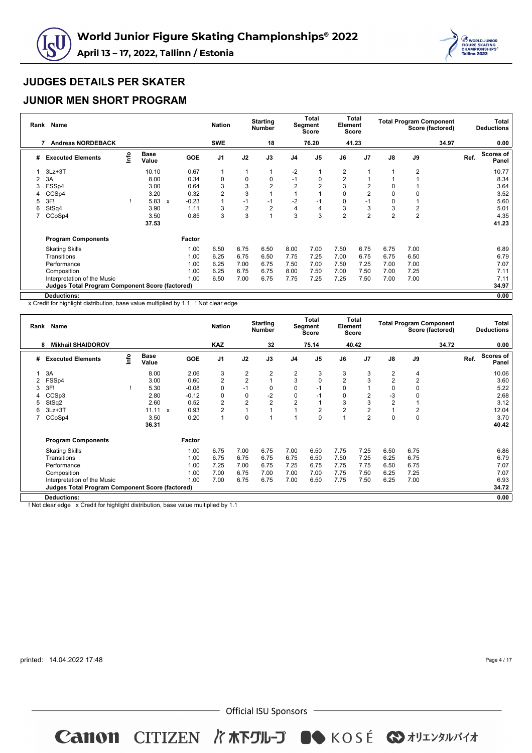



### **JUNIOR MEN SHORT PROGRAM**

|   | Rank Name                                              |      |                      |                         | <b>Nation</b>  |                | <b>Starting</b><br><b>Number</b> |                | <b>Total</b><br>Segment<br><b>Score</b> | Element        | <b>Total</b><br><b>Score</b> |                | <b>Total Program Component</b> | Score (factored) |      | Total<br><b>Deductions</b> |
|---|--------------------------------------------------------|------|----------------------|-------------------------|----------------|----------------|----------------------------------|----------------|-----------------------------------------|----------------|------------------------------|----------------|--------------------------------|------------------|------|----------------------------|
|   | <b>Andreas NORDEBACK</b>                               |      |                      |                         | <b>SWE</b>     |                | 18                               |                | 76.20                                   |                | 41.23                        |                |                                | 34.97            |      | 0.00                       |
| # | <b>Executed Elements</b>                               | lnfo | <b>Base</b><br>Value | <b>GOE</b>              | J <sub>1</sub> | J2             | J3                               | J <sub>4</sub> | J <sub>5</sub>                          | J6             | J <sub>7</sub>               | J8             | J9                             |                  | Ref. | Scores of<br>Panel         |
|   | $3Lz + 3T$                                             |      | 10.10                | 0.67                    | 1              | 1              |                                  | $-2$           |                                         | 2              |                              | 1              | $\overline{2}$                 |                  |      | 10.77                      |
| 2 | 3A                                                     |      | 8.00                 | 0.34                    | 0              | 0              | 0                                | $-1$           | 0                                       | $\overline{2}$ |                              |                |                                |                  |      | 8.34                       |
| 3 | FSSp4                                                  |      | 3.00                 | 0.64                    | 3              | 3              | $\overline{2}$                   | $\overline{2}$ | $\overline{2}$                          | 3              | 2                            | 0              |                                |                  |      | 3.64                       |
| 4 | CCS <sub>p4</sub>                                      |      | 3.20                 | 0.32                    | $\overline{2}$ | 3              |                                  |                |                                         | $\Omega$       | $\overline{2}$               | 0              | 0                              |                  |      | 3.52                       |
| 5 | 3F!                                                    |      | 5.83                 | $-0.23$<br>$\mathbf{x}$ |                | $-1$           | $-1$                             | $-2$           | -1                                      | 0              | $-1$                         | 0              |                                |                  |      | 5.60                       |
| 6 | StSq4                                                  |      | 3.90                 | 1.11                    | 3              | $\overline{2}$ | $\overline{2}$                   | 4              | 4                                       | 3              | 3                            | 3              | $\overline{2}$                 |                  |      | 5.01                       |
|   | CCoSp4                                                 |      | 3.50                 | 0.85                    | 3              | 3              |                                  | 3              | 3                                       | $\overline{2}$ | $\overline{2}$               | $\overline{2}$ | $\overline{2}$                 |                  |      | 4.35                       |
|   |                                                        |      | 37.53                |                         |                |                |                                  |                |                                         |                |                              |                |                                |                  |      | 41.23                      |
|   | <b>Program Components</b>                              |      |                      | Factor                  |                |                |                                  |                |                                         |                |                              |                |                                |                  |      |                            |
|   | <b>Skating Skills</b>                                  |      |                      | 1.00                    | 6.50           | 6.75           | 6.50                             | 8.00           | 7.00                                    | 7.50           | 6.75                         | 6.75           | 7.00                           |                  |      | 6.89                       |
|   | Transitions                                            |      |                      | 1.00                    | 6.25           | 6.75           | 6.50                             | 7.75           | 7.25                                    | 7.00           | 6.75                         | 6.75           | 6.50                           |                  |      | 6.79                       |
|   | Performance                                            |      |                      | 1.00                    | 6.25           | 7.00           | 6.75                             | 7.50           | 7.00                                    | 7.50           | 7.25                         | 7.00           | 7.00                           |                  |      | 7.07                       |
|   | Composition                                            |      |                      | 1.00                    | 6.25           | 6.75           | 6.75                             | 8.00           | 7.50                                    | 7.00           | 7.50                         | 7.00           | 7.25                           |                  |      | 7.11                       |
|   | Interpretation of the Music                            |      |                      | 1.00                    | 6.50           | 7.00           | 6.75                             | 7.75           | 7.25                                    | 7.25           | 7.50                         | 7.00           | 7.00                           |                  |      | 7.11                       |
|   | <b>Judges Total Program Component Score (factored)</b> |      |                      |                         |                |                |                                  |                |                                         |                |                              |                |                                |                  |      | 34.97                      |
|   | Deductions:                                            |      |                      |                         |                |                |                                  |                |                                         |                |                              |                |                                |                  |      | 0.00                       |

x Credit for highlight distribution, base value multiplied by 1.1 ! Not clear edge

|   | Rank Name                                              |      |                      |              |            | <b>Nation</b>  |                | <b>Starting</b><br><b>Number</b> |                | <b>Total</b><br>Segment<br>Score | Element        | Total<br>Score |                |                | <b>Total Program Component</b><br>Score (factored) |      | Total<br><b>Deductions</b> |
|---|--------------------------------------------------------|------|----------------------|--------------|------------|----------------|----------------|----------------------------------|----------------|----------------------------------|----------------|----------------|----------------|----------------|----------------------------------------------------|------|----------------------------|
|   | <b>Mikhail SHAIDOROV</b><br>8                          |      |                      |              |            | <b>KAZ</b>     |                | 32                               |                | 75.14                            |                | 40.42          |                |                | 34.72                                              |      | 0.00                       |
| # | <b>Executed Elements</b>                               | lnfo | <b>Base</b><br>Value |              | <b>GOE</b> | J <sub>1</sub> | J2             | J3                               | J <sub>4</sub> | J <sub>5</sub>                   | $\mathsf{J6}$  | J7             | J8             | J9             |                                                    | Ref. | Scores of<br>Panel         |
|   | 3A                                                     |      | 8.00                 |              | 2.06       | 3              | 2              | 2                                | 2              | 3                                | 3              | 3              | $\overline{2}$ | 4              |                                                    |      | 10.06                      |
| 2 | FSSp4                                                  |      | 3.00                 |              | 0.60       | $\overline{2}$ | $\overline{2}$ |                                  | 3              | 0                                | $\overline{2}$ | 3              | $\overline{2}$ | $\overline{2}$ |                                                    |      | 3.60                       |
| Э | 3F!                                                    |      | 5.30                 |              | $-0.08$    | $\pmb{0}$      | $-1$           | 0                                | 0              | $-1$                             | $\Omega$       |                | 0              | 0              |                                                    |      | 5.22                       |
|   | CCS <sub>p3</sub>                                      |      | 2.80                 |              | $-0.12$    | $\pmb{0}$      | 0              | $-2$                             | 0              | -1                               | $\Omega$       | $\overline{2}$ | $-3$           | $\mathbf 0$    |                                                    |      | 2.68                       |
|   | StSq2                                                  |      | 2.60                 |              | 0.52       | $\overline{2}$ | $\overline{2}$ | $\overline{2}$                   | $\overline{2}$ |                                  | 3              | 3              | $\overline{2}$ |                |                                                    |      | 3.12                       |
| 6 | $3Lz + 3T$                                             |      | 11.11                | $\mathbf{x}$ | 0.93       | $\overline{2}$ |                | $\overline{A}$                   | $\overline{A}$ | 2                                | $\overline{2}$ | $\overline{2}$ |                | 2              |                                                    |      | 12.04                      |
|   | CCoSp4                                                 |      | 3.50                 |              | 0.20       | $\overline{1}$ | $\mathbf 0$    | $\overline{A}$                   | и              | 0                                |                | $\overline{2}$ | 0              | $\pmb{0}$      |                                                    |      | 3.70                       |
|   |                                                        |      | 36.31                |              |            |                |                |                                  |                |                                  |                |                |                |                |                                                    |      | 40.42                      |
|   | <b>Program Components</b>                              |      |                      |              | Factor     |                |                |                                  |                |                                  |                |                |                |                |                                                    |      |                            |
|   | <b>Skating Skills</b>                                  |      |                      |              | 1.00       | 6.75           | 7.00           | 6.75                             | 7.00           | 6.50                             | 7.75           | 7.25           | 6.50           | 6.75           |                                                    |      | 6.86                       |
|   | Transitions                                            |      |                      |              | 1.00       | 6.75           | 6.75           | 6.75                             | 6.75           | 6.50                             | 7.50           | 7.25           | 6.25           | 6.75           |                                                    |      | 6.79                       |
|   | Performance                                            |      |                      |              | 1.00       | 7.25           | 7.00           | 6.75                             | 7.25           | 6.75                             | 7.75           | 7.75           | 6.50           | 6.75           |                                                    |      | 7.07                       |
|   | Composition                                            |      |                      |              | 1.00       | 7.00           | 6.75           | 7.00                             | 7.00           | 7.00                             | 7.75           | 7.50           | 6.25           | 7.25           |                                                    |      | 7.07                       |
|   | Interpretation of the Music                            |      |                      |              | 1.00       | 7.00           | 6.75           | 6.75                             | 7.00           | 6.50                             | 7.75           | 7.50           | 6.25           | 7.00           |                                                    |      | 6.93                       |
|   | <b>Judges Total Program Component Score (factored)</b> |      |                      |              |            |                |                |                                  |                |                                  |                |                |                |                |                                                    |      | 34.72                      |
|   | <b>Deductions:</b>                                     |      |                      |              |            |                |                |                                  |                |                                  |                |                |                |                |                                                    |      | 0.00                       |

! Not clear edge x Credit for highlight distribution, base value multiplied by 1.1

printed: 14.04.2022 17:48

Page 4 / 17

 $-$  Official ISU Sponsors  $-$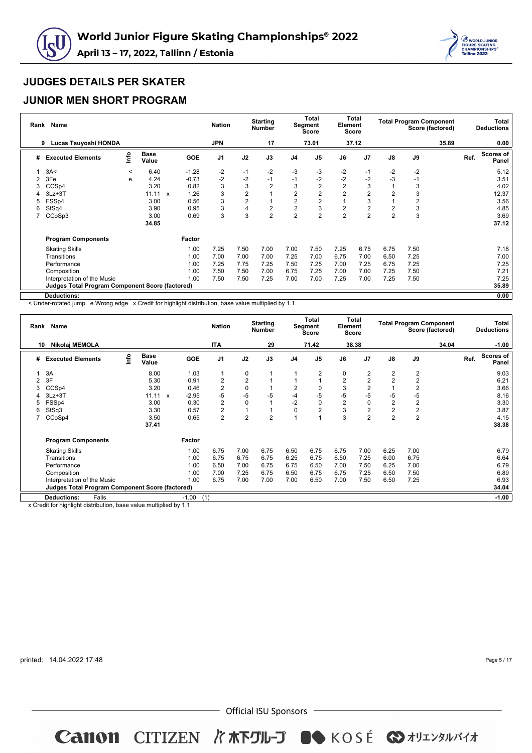



### **JUNIOR MEN SHORT PROGRAM**

| Rank | <b>Name</b>                                            |         |                      |                      | <b>Nation</b>  |                | <b>Starting</b><br><b>Number</b> |                | Total<br>Segment<br><b>Score</b> | Element        | Total<br><b>Score</b> |                | <b>Total Program Component</b> | Score (factored) |      | Total<br><b>Deductions</b> |
|------|--------------------------------------------------------|---------|----------------------|----------------------|----------------|----------------|----------------------------------|----------------|----------------------------------|----------------|-----------------------|----------------|--------------------------------|------------------|------|----------------------------|
|      | Lucas Tsuyoshi HONDA<br>9                              |         |                      |                      | <b>JPN</b>     |                | 17                               |                | 73.01                            |                | 37.12                 |                |                                | 35.89            |      | 0.00                       |
| #    | <b>Executed Elements</b>                               | lnfo    | <b>Base</b><br>Value | <b>GOE</b>           | J <sub>1</sub> | J2             | J3                               | J <sub>4</sub> | J <sub>5</sub>                   | J6             | J7                    | $\mathsf{J}8$  | $\mathsf{J}9$                  |                  | Ref. | <b>Scores of</b><br>Panel  |
|      | 3A<                                                    | $\prec$ | 6.40                 | $-1.28$              | $-2$           | $-1$           | $-2$                             | $-3$           | -3                               | $-2$           | $-1$                  | $-2$           | $-2$                           |                  |      | 5.12                       |
|      | 3Fe                                                    | e       | 4.24                 | $-0.73$              | $-2$           | $-2$           | $-1$                             | $-1$           | $-2$                             | $-2$           | $-2$                  | $-3$           | $-1$                           |                  |      | 3.51                       |
|      | CCSp4                                                  |         | 3.20                 | 0.82                 | 3              | 3              | $\overline{2}$                   | 3              | $\overline{2}$                   | 2              | 3                     |                | 3                              |                  |      | 4.02                       |
|      | $3Lz + 3T$                                             |         | 11.11                | 1.26<br>$\mathbf{x}$ | 3              | $\overline{2}$ |                                  | $\overline{2}$ |                                  | $\overline{2}$ | 2                     | $\overline{2}$ | 3                              |                  |      | 12.37                      |
| 5    | FSSp4                                                  |         | 3.00                 | 0.56                 | 3              | $\overline{2}$ |                                  | $\overline{2}$ | $\overline{2}$                   |                | 3                     |                | $\overline{2}$                 |                  |      | 3.56                       |
| 6    | StSq4                                                  |         | 3.90                 | 0.95                 | 3              | 4              | $\overline{2}$                   | $\overline{2}$ | 3                                | 2              | 2                     | $\overline{2}$ | 3                              |                  |      | 4.85                       |
|      | CCoSp3                                                 |         | 3.00                 | 0.69                 | 3              | 3              | $\overline{2}$                   | $\overline{2}$ | $\overline{2}$                   | $\overline{2}$ | 2                     | $\overline{2}$ | 3                              |                  |      | 3.69                       |
|      |                                                        |         | 34.85                |                      |                |                |                                  |                |                                  |                |                       |                |                                |                  |      | 37.12                      |
|      | <b>Program Components</b>                              |         |                      | Factor               |                |                |                                  |                |                                  |                |                       |                |                                |                  |      |                            |
|      | <b>Skating Skills</b>                                  |         |                      | 1.00                 | 7.25           | 7.50           | 7.00                             | 7.00           | 7.50                             | 7.25           | 6.75                  | 6.75           | 7.50                           |                  |      | 7.18                       |
|      | Transitions                                            |         |                      | 1.00                 | 7.00           | 7.00           | 7.00                             | 7.25           | 7.00                             | 6.75           | 7.00                  | 6.50           | 7.25                           |                  |      | 7.00                       |
|      | Performance                                            |         |                      | 1.00                 | 7.25           | 7.75           | 7.25                             | 7.50           | 7.25                             | 7.00           | 7.25                  | 6.75           | 7.25                           |                  |      | 7.25                       |
|      | Composition                                            |         |                      | 1.00                 | 7.50           | 7.50           | 7.00                             | 6.75           | 7.25                             | 7.00           | 7.00                  | 7.25           | 7.50                           |                  |      | 7.21                       |
|      | Interpretation of the Music                            |         |                      | 1.00                 | 7.50           | 7.50           | 7.25                             | 7.00           | 7.00                             | 7.25           | 7.00                  | 7.25           | 7.50                           |                  |      | 7.25                       |
|      | <b>Judges Total Program Component Score (factored)</b> |         |                      |                      |                |                |                                  |                |                                  |                |                       |                |                                |                  |      | 35.89                      |
|      | <b>Deductions:</b>                                     |         |                      |                      |                |                |                                  |                |                                  |                |                       |                |                                |                  |      | 0.00                       |

< Under-rotated jump e Wrong edge x Credit for highlight distribution, base value multiplied by 1.1

|    | Rank Name                                              |      |                      |                           |            | <b>Nation</b>  |                | <b>Starting</b><br><b>Number</b> |                | <b>Total</b><br><b>Segment</b><br><b>Score</b> | Element        | Total<br>Score |                | <b>Total Program Component</b> | Score (factored) |      | <b>Total</b><br><b>Deductions</b> |
|----|--------------------------------------------------------|------|----------------------|---------------------------|------------|----------------|----------------|----------------------------------|----------------|------------------------------------------------|----------------|----------------|----------------|--------------------------------|------------------|------|-----------------------------------|
| 10 | Nikolaj MEMOLA                                         |      |                      |                           |            | <b>ITA</b>     |                | 29                               |                | 71.42                                          |                | 38.38          |                |                                | 34.04            |      | $-1.00$                           |
| #  | <b>Executed Elements</b>                               | Info | <b>Base</b><br>Value |                           | <b>GOE</b> | J <sub>1</sub> | J2             | J3                               | J <sub>4</sub> | J <sub>5</sub>                                 | J6             | J <sub>7</sub> | $\mathsf{J}8$  | J9                             |                  | Ref. | <b>Scores of</b><br>Panel         |
|    | 3A                                                     |      | 8.00                 |                           | 1.03       |                | 0              |                                  |                | $\overline{2}$                                 | 0              | 2              | 2              | $\overline{2}$                 |                  |      | 9.03                              |
|    | 3F                                                     |      | 5.30                 |                           | 0.91       | $\overline{2}$ | $\overline{2}$ |                                  |                |                                                | $\overline{2}$ | $\overline{2}$ | $\overline{2}$ | $\overline{2}$                 |                  |      | 6.21                              |
|    | CCSp4                                                  |      | 3.20                 |                           | 0.46       | $\overline{c}$ | 0              |                                  | $\overline{2}$ | 0                                              | 3              | $\overline{2}$ |                | $\overline{2}$                 |                  |      | 3.66                              |
|    | $3Lz + 3T$                                             |      | 11.11                | $\boldsymbol{\mathsf{x}}$ | $-2.95$    | $-5$           | $-5$           | $-5$                             | -4             | $-5$                                           | $-5$           | $-5$           | $-5$           | $-5$                           |                  |      | 8.16                              |
|    | FSSp4                                                  |      | 3.00                 |                           | 0.30       | $\overline{2}$ | $\Omega$       |                                  | $-2$           | 0                                              | $\overline{2}$ | $\mathbf 0$    | $\overline{2}$ | $\overline{2}$                 |                  |      | 3.30                              |
| 6  | StSq3                                                  |      | 3.30                 |                           | 0.57       | $\overline{2}$ |                |                                  | 0              | $\overline{2}$                                 | 3              | $\overline{2}$ | $\overline{2}$ | $\overline{c}$                 |                  |      | 3.87                              |
|    | CCoSp4                                                 |      | 3.50                 |                           | 0.65       | $\overline{2}$ | $\overline{2}$ | $\overline{2}$                   |                |                                                | 3              | $\overline{2}$ | $\overline{2}$ | $\overline{2}$                 |                  |      | 4.15                              |
|    |                                                        |      | 37.41                |                           |            |                |                |                                  |                |                                                |                |                |                |                                |                  |      | 38.38                             |
|    | <b>Program Components</b>                              |      |                      |                           | Factor     |                |                |                                  |                |                                                |                |                |                |                                |                  |      |                                   |
|    | <b>Skating Skills</b>                                  |      |                      |                           | 1.00       | 6.75           | 7.00           | 6.75                             | 6.50           | 6.75                                           | 6.75           | 7.00           | 6.25           | 7.00                           |                  |      | 6.79                              |
|    | Transitions                                            |      |                      |                           | 1.00       | 6.75           | 6.75           | 6.75                             | 6.25           | 6.75                                           | 6.50           | 7.25           | 6.00           | 6.75                           |                  |      | 6.64                              |
|    | Performance                                            |      |                      |                           | 1.00       | 6.50           | 7.00           | 6.75                             | 6.75           | 6.50                                           | 7.00           | 7.50           | 6.25           | 7.00                           |                  |      | 6.79                              |
|    | Composition                                            |      |                      |                           | 1.00       | 7.00           | 7.25           | 6.75                             | 6.50           | 6.75                                           | 6.75           | 7.25           | 6.50           | 7.50                           |                  |      | 6.89                              |
|    | Interpretation of the Music                            |      |                      |                           | 1.00       | 6.75           | 7.00           | 7.00                             | 7.00           | 6.50                                           | 7.00           | 7.50           | 6.50           | 7.25                           |                  |      | 6.93                              |
|    | <b>Judges Total Program Component Score (factored)</b> |      |                      |                           |            |                |                |                                  |                |                                                |                |                |                |                                |                  |      | 34.04                             |
|    | Falls<br><b>Deductions:</b>                            |      |                      |                           | $-1.00$    | (1)            |                |                                  |                |                                                |                |                |                |                                |                  |      | $-1.00$                           |

x Credit for highlight distribution, base value multiplied by 1.1

printed: 14.04.2022 17:48

Page 5 / 17

 $-$  Official ISU Sponsors  $-$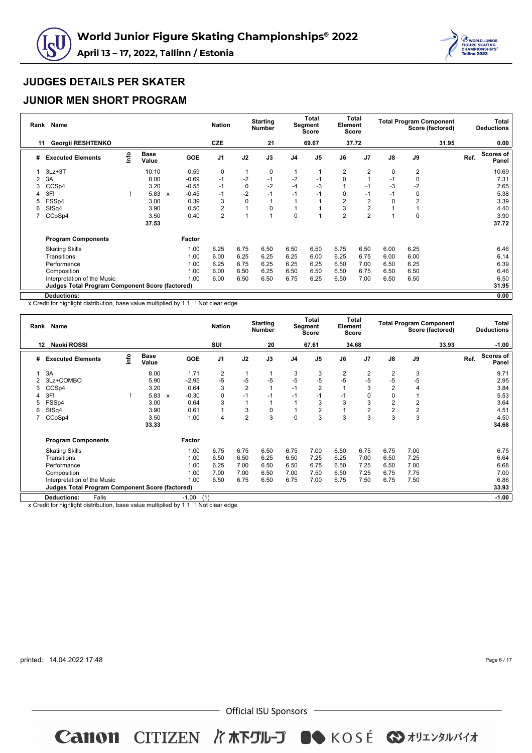



### **JUNIOR MEN SHORT PROGRAM**

|    | Rank Name                                              |      |                      |                           |            | <b>Nation</b>  |             | <b>Starting</b><br><b>Number</b> |                | <b>Total</b><br>Segment<br><b>Score</b> | Element        | Total<br>Score |             | <b>Total Program Component</b> | Score (factored) |      | Total<br><b>Deductions</b> |
|----|--------------------------------------------------------|------|----------------------|---------------------------|------------|----------------|-------------|----------------------------------|----------------|-----------------------------------------|----------------|----------------|-------------|--------------------------------|------------------|------|----------------------------|
| 11 | <b>Georgii RESHTENKO</b>                               |      |                      |                           |            | CZE            |             | 21                               |                | 69.67                                   |                | 37.72          |             |                                | 31.95            |      | 0.00                       |
| #  | <b>Executed Elements</b>                               | lnfo | <b>Base</b><br>Value |                           | <b>GOE</b> | J <sub>1</sub> | J2          | J3                               | J <sub>4</sub> | J <sub>5</sub>                          | J6             | J <sub>7</sub> | J8          | J9                             |                  | Ref. | Scores of<br>Panel         |
|    | $3Lz + 3T$                                             |      | 10.10                |                           | 0.59       | 0              | 1           | 0                                |                |                                         | $\overline{2}$ | 2              | $\mathbf 0$ | $\overline{2}$                 |                  |      | 10.69                      |
| 2  | 3A                                                     |      | 8.00                 |                           | $-0.69$    | $-1$           | $-2$        | $-1$                             | $-2$           | -1                                      | $\Omega$       |                | $-1$        | 0                              |                  |      | 7.31                       |
| 3  | CCS <sub>p4</sub>                                      |      | 3.20                 |                           | $-0.55$    | $-1$           | $\mathbf 0$ | $-2$                             | $-4$           | $-3$                                    |                | $-1$           | -3          | $-2$                           |                  |      | 2.65                       |
| 4  | 3F!                                                    |      | 5.83                 | $\boldsymbol{\mathsf{x}}$ | $-0.45$    | $-1$           | $-2$        | $-1$                             | $-1$           | $-1$                                    | $\Omega$       | $-1$           | $-1$        | 0                              |                  |      | 5.38                       |
| 5  | FSSp4                                                  |      | 3.00                 |                           | 0.39       | 3              | 0           |                                  |                |                                         | $\overline{2}$ | $\overline{2}$ | $\mathbf 0$ | 2                              |                  |      | 3.39                       |
| 6  | StSq4                                                  |      | 3.90                 |                           | 0.50       | $\overline{2}$ |             | 0                                |                |                                         | 3              | $\overline{2}$ |             |                                |                  |      | 4.40                       |
|    | CCoSp4                                                 |      | 3.50                 |                           | 0.40       | $\overline{2}$ | ۸           |                                  | $\mathbf 0$    |                                         | $\overline{2}$ | $\overline{2}$ | 1           | 0                              |                  |      | 3.90                       |
|    |                                                        |      | 37.53                |                           |            |                |             |                                  |                |                                         |                |                |             |                                |                  |      | 37.72                      |
|    | <b>Program Components</b>                              |      |                      |                           | Factor     |                |             |                                  |                |                                         |                |                |             |                                |                  |      |                            |
|    | <b>Skating Skills</b>                                  |      |                      |                           | 1.00       | 6.25           | 6.75        | 6.50                             | 6.50           | 6.50                                    | 6.75           | 6.50           | 6.00        | 6.25                           |                  |      | 6.46                       |
|    | Transitions                                            |      |                      |                           | 1.00       | 6.00           | 6.25        | 6.25                             | 6.25           | 6.00                                    | 6.25           | 6.75           | 6.00        | 6.00                           |                  |      | 6.14                       |
|    | Performance                                            |      |                      |                           | 1.00       | 6.25           | 6.75        | 6.25                             | 6.25           | 6.25                                    | 6.50           | 7.00           | 6.50        | 6.25                           |                  |      | 6.39                       |
|    | Composition                                            |      |                      |                           | 1.00       | 6.00           | 6.50        | 6.25                             | 6.50           | 6.50                                    | 6.50           | 6.75           | 6.50        | 6.50                           |                  |      | 6.46                       |
|    | Interpretation of the Music                            |      |                      |                           | 1.00       | 6.00           | 6.50        | 6.50                             | 6.75           | 6.25                                    | 6.50           | 7.00           | 6.50        | 6.50                           |                  |      | 6.50                       |
|    | <b>Judges Total Program Component Score (factored)</b> |      |                      |                           |            |                |             |                                  |                |                                         |                |                |             |                                |                  |      | 31.95                      |
|    | Deductions:                                            |      |                      |                           |            |                |             |                                  |                |                                         |                |                |             |                                |                  |      | 0.00                       |

x Credit for highlight distribution, base value multiplied by 1.1 ! Not clear edge

|    | Rank Name                                              |      |                      |                           |            | <b>Nation</b>  |                | <b>Starting</b><br><b>Number</b> |                | Total<br>Segment<br><b>Score</b> | Element | Total<br><b>Score</b> |                         |                | <b>Total Program Component</b><br>Score (factored) |      | Total<br><b>Deductions</b> |
|----|--------------------------------------------------------|------|----------------------|---------------------------|------------|----------------|----------------|----------------------------------|----------------|----------------------------------|---------|-----------------------|-------------------------|----------------|----------------------------------------------------|------|----------------------------|
| 12 | Naoki ROSSI                                            |      |                      |                           |            | SUI            |                | 20                               |                | 67.61                            |         | 34.68                 |                         |                | 33.93                                              |      | $-1.00$                    |
| #  | <b>Executed Elements</b>                               | ١nfo | <b>Base</b><br>Value |                           | <b>GOE</b> | J <sub>1</sub> | J2             | J3                               | J <sub>4</sub> | J <sub>5</sub>                   | J6      | J <sub>7</sub>        | $\mathsf{J}8$           | J9             |                                                    | Ref. | <b>Scores of</b><br>Panel  |
|    | 3A                                                     |      | 8.00                 |                           | 1.71       | $\overline{2}$ |                |                                  | 3              | 3                                | 2       | 2                     | 2                       | 3              |                                                    |      | 9.71                       |
|    | 3Lz+COMBO                                              |      | 5.90                 |                           | $-2.95$    | $-5$           | $-5$           | $-5$                             | $-5$           | $-5$                             | $-5$    | -5                    | $-5$                    | $-5$           |                                                    |      | 2.95                       |
| 3  | CCS <sub>p4</sub>                                      |      | 3.20                 |                           | 0.64       | 3              | $\overline{2}$ |                                  | $-1$           | $\overline{2}$                   |         | 3                     | $\overline{2}$          | $\overline{4}$ |                                                    |      | 3.84                       |
| 4  | 3F!                                                    |      | 5.83                 | $\boldsymbol{\mathsf{x}}$ | $-0.30$    | $\mathbf 0$    | $-1$           | $-1$                             | $-1$           | $-1$                             | $-1$    | 0                     | 0                       |                |                                                    |      | 5.53                       |
|    | FSSp4                                                  |      | 3.00                 |                           | 0.64       | 3              |                |                                  |                | 3                                | 3       | 3                     | $\overline{\mathbf{c}}$ | 2              |                                                    |      | 3.64                       |
| 6  | StSq4                                                  |      | 3.90                 |                           | 0.61       |                | 3              | 0                                |                | $\overline{c}$                   |         | 2                     | $\overline{2}$          | $\sqrt{2}$     |                                                    |      | 4.51                       |
|    | CCoSp4                                                 |      | 3.50                 |                           | 1.00       | 4              | $\overline{2}$ | 3                                | $\Omega$       | 3                                | 3       | 3                     | 3                       | 3              |                                                    |      | 4.50                       |
|    |                                                        |      | 33.33                |                           |            |                |                |                                  |                |                                  |         |                       |                         |                |                                                    |      | 34.68                      |
|    | <b>Program Components</b>                              |      |                      |                           | Factor     |                |                |                                  |                |                                  |         |                       |                         |                |                                                    |      |                            |
|    | <b>Skating Skills</b>                                  |      |                      |                           | 1.00       | 6.75           | 6.75           | 6.50                             | 6.75           | 7.00                             | 6.50    | 6.75                  | 6.75                    | 7.00           |                                                    |      | 6.75                       |
|    | Transitions                                            |      |                      |                           | 1.00       | 6.50           | 6.50           | 6.25                             | 6.50           | 7.25                             | 6.25    | 7.00                  | 6.50                    | 7.25           |                                                    |      | 6.64                       |
|    | Performance                                            |      |                      |                           | 1.00       | 6.25           | 7.00           | 6.50                             | 6.50           | 6.75                             | 6.50    | 7.25                  | 6.50                    | 7.00           |                                                    |      | 6.68                       |
|    | Composition                                            |      |                      |                           | 1.00       | 7.00           | 7.00           | 6.50                             | 7.00           | 7.50                             | 6.50    | 7.25                  | 6.75                    | 7.75           |                                                    |      | 7.00                       |
|    | Interpretation of the Music                            |      |                      |                           | 1.00       | 6.50           | 6.75           | 6.50                             | 6.75           | 7.00                             | 6.75    | 7.50                  | 6.75                    | 7.50           |                                                    |      | 6.86                       |
|    | <b>Judges Total Program Component Score (factored)</b> |      |                      |                           |            |                |                |                                  |                |                                  |         |                       |                         |                |                                                    |      | 33.93                      |
|    | <b>Deductions:</b><br>Falls                            |      |                      |                           | $-1.00$    | (1)            |                |                                  |                |                                  |         |                       |                         |                |                                                    |      | $-1.00$                    |

x Credit for highlight distribution, base value multiplied by 1.1 ! Not clear edge

printed: 14.04.2022 17:48

Page 6 / 17

 $-$  Official ISU Sponsors  $-$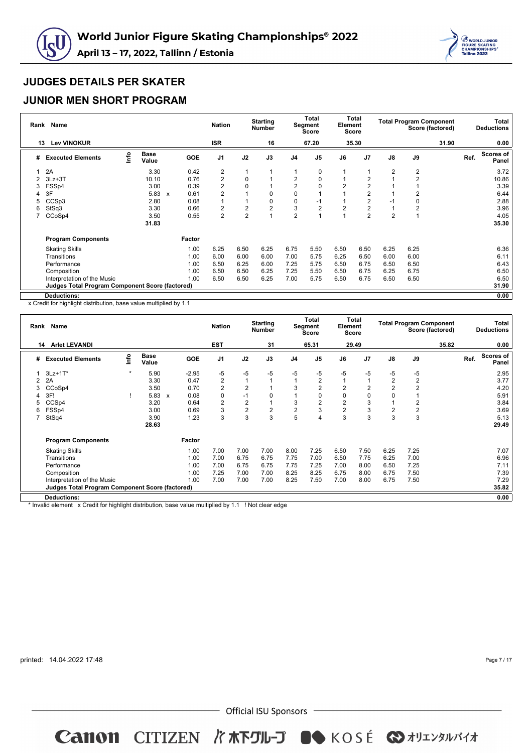



### **JUNIOR MEN SHORT PROGRAM**

| Rank | Name                                                   |      |                      |                           |            | <b>Nation</b>  |                | <b>Starting</b><br><b>Number</b> |                | <b>Total</b><br>Segment<br><b>Score</b> | Element        | Total<br><b>Score</b> |                | <b>Total Program Component</b> | Score (factored) |      | Total<br><b>Deductions</b> |
|------|--------------------------------------------------------|------|----------------------|---------------------------|------------|----------------|----------------|----------------------------------|----------------|-----------------------------------------|----------------|-----------------------|----------------|--------------------------------|------------------|------|----------------------------|
| 13   | <b>Lev VINOKUR</b>                                     |      |                      |                           |            | <b>ISR</b>     |                | 16                               |                | 67.20                                   |                | 35.30                 |                |                                | 31.90            |      | 0.00                       |
| #    | <b>Executed Elements</b>                               | lnfo | <b>Base</b><br>Value |                           | <b>GOE</b> | J <sub>1</sub> | J2             | J3                               | J <sub>4</sub> | J <sub>5</sub>                          | J6             | J <sub>7</sub>        | $\mathsf{J}8$  | J9                             |                  | Ref. | <b>Scores of</b><br>Panel  |
|      | 2A                                                     |      | 3.30                 |                           | 0.42       | 2              | 1              |                                  |                | 0                                       |                |                       | 2              | $\overline{2}$                 |                  |      | 3.72                       |
| 2    | $3Lz + 3T$                                             |      | 10.10                |                           | 0.76       | $\overline{2}$ | 0              |                                  | 2              | 0                                       |                | $\overline{2}$        |                | $\overline{2}$                 |                  |      | 10.86                      |
| 3    | FSSp4                                                  |      | 3.00                 |                           | 0.39       | $\overline{2}$ | 0              |                                  | $\overline{2}$ | 0                                       | $\overline{2}$ | $\overline{2}$        |                |                                |                  |      | 3.39                       |
| 4    | 3F                                                     |      | 5.83                 | $\boldsymbol{\mathsf{x}}$ | 0.61       | $\overline{2}$ |                | 0                                | $\mathbf 0$    |                                         |                | $\overline{2}$        |                | 2                              |                  |      | 6.44                       |
| 5    | CCSp3                                                  |      | 2.80                 |                           | 0.08       |                |                | 0                                | 0              | -1                                      |                | $\overline{2}$        | $-1$           | 0                              |                  |      | 2.88                       |
| 6    | StSq3                                                  |      | 3.30                 |                           | 0.66       | $\overline{2}$ | 2              | 2                                | 3              | $\overline{2}$                          | 2              | $\overline{2}$        | 1              | 2                              |                  |      | 3.96                       |
|      | CCoSp4                                                 |      | 3.50                 |                           | 0.55       | $\overline{2}$ | $\overline{2}$ |                                  | $\overline{2}$ |                                         |                | $\overline{2}$        | $\overline{2}$ | 1                              |                  |      | 4.05                       |
|      |                                                        |      | 31.83                |                           |            |                |                |                                  |                |                                         |                |                       |                |                                |                  |      | 35.30                      |
|      | <b>Program Components</b>                              |      |                      |                           | Factor     |                |                |                                  |                |                                         |                |                       |                |                                |                  |      |                            |
|      | <b>Skating Skills</b>                                  |      |                      |                           | 1.00       | 6.25           | 6.50           | 6.25                             | 6.75           | 5.50                                    | 6.50           | 6.50                  | 6.25           | 6.25                           |                  |      | 6.36                       |
|      | Transitions                                            |      |                      |                           | 1.00       | 6.00           | 6.00           | 6.00                             | 7.00           | 5.75                                    | 6.25           | 6.50                  | 6.00           | 6.00                           |                  |      | 6.11                       |
|      | Performance                                            |      |                      |                           | 1.00       | 6.50           | 6.25           | 6.00                             | 7.25           | 5.75                                    | 6.50           | 6.75                  | 6.50           | 6.50                           |                  |      | 6.43                       |
|      | Composition                                            |      |                      |                           | 1.00       | 6.50           | 6.50           | 6.25                             | 7.25           | 5.50                                    | 6.50           | 6.75                  | 6.25           | 6.75                           |                  |      | 6.50                       |
|      | Interpretation of the Music                            |      |                      |                           | 1.00       | 6.50           | 6.50           | 6.25                             | 7.00           | 5.75                                    | 6.50           | 6.75                  | 6.50           | 6.50                           |                  |      | 6.50                       |
|      | <b>Judges Total Program Component Score (factored)</b> |      |                      |                           |            |                |                |                                  |                |                                         |                |                       |                |                                |                  |      | 31.90                      |
|      | <b>Deductions:</b>                                     |      |                      |                           |            |                |                |                                  |                |                                         |                |                       |                |                                |                  |      | 0.00                       |

x Credit for highlight distribution, base value multiplied by 1.1

|   | Rank Name                                       |         |                      |                           |            | <b>Nation</b>  |                | <b>Starting</b><br><b>Number</b> |                | <b>Total</b><br><b>Segment</b><br>Score | Element        | Total<br>Score |                | <b>Total Program Component</b> | Score (factored) |      | <b>Total</b><br><b>Deductions</b> |
|---|-------------------------------------------------|---------|----------------------|---------------------------|------------|----------------|----------------|----------------------------------|----------------|-----------------------------------------|----------------|----------------|----------------|--------------------------------|------------------|------|-----------------------------------|
|   | <b>Arlet LEVANDI</b><br>14                      |         |                      |                           |            | <b>EST</b>     |                | 31                               |                | 65.31                                   |                | 29.49          |                |                                | 35.82            |      | 0.00                              |
| # | <b>Executed Elements</b>                        | lnfo    | <b>Base</b><br>Value |                           | <b>GOE</b> | J <sub>1</sub> | J2             | J3                               | J <sub>4</sub> | J <sub>5</sub>                          | J6             | J <sub>7</sub> | $\mathsf{J}8$  | J9                             |                  | Ref. | Scores of<br>Panel                |
|   | $3Lz+1T^*$                                      | $\star$ | 5.90                 |                           | $-2.95$    | -5             | $-5$           | $-5$                             | $-5$           | $-5$                                    | -5             | $-5$           | -5             | $-5$                           |                  |      | 2.95                              |
|   | 2A                                              |         | 3.30                 |                           | 0.47       | $\overline{c}$ |                |                                  |                | $\overline{2}$                          |                |                | $\overline{c}$ | $\overline{2}$                 |                  |      | 3.77                              |
| 3 | CCoSp4                                          |         | 3.50                 |                           | 0.70       | $\overline{c}$ | $\overline{2}$ |                                  | 3              | $\overline{2}$                          | $\overline{2}$ | 2              | $\overline{2}$ | $\overline{2}$                 |                  |      | 4.20                              |
|   | 3F!                                             |         | 5.83                 | $\boldsymbol{\mathsf{x}}$ | 0.08       | $\mathbf 0$    | $-1$           | 0                                |                | 0                                       | $\Omega$       | 0              | 0              |                                |                  |      | 5.91                              |
| 5 | CCSp4                                           |         | 3.20                 |                           | 0.64       | $\overline{2}$ | $\overline{2}$ |                                  | 3              | $\overline{2}$                          | $\overline{2}$ | 3              | 1              | $\overline{2}$                 |                  |      | 3.84                              |
| 6 | FSSp4                                           |         | 3.00                 |                           | 0.69       | 3              | $\overline{2}$ | $\overline{c}$                   | 2              | 3                                       | $\overline{2}$ | 3              | $\overline{2}$ | $\overline{c}$                 |                  |      | 3.69                              |
|   | StSq4                                           |         | 3.90                 |                           | 1.23       | 3              | 3              | 3                                | 5              | 4                                       | 3              | 3              | 3              | 3                              |                  |      | 5.13                              |
|   |                                                 |         | 28.63                |                           |            |                |                |                                  |                |                                         |                |                |                |                                |                  |      | 29.49                             |
|   | <b>Program Components</b>                       |         |                      |                           | Factor     |                |                |                                  |                |                                         |                |                |                |                                |                  |      |                                   |
|   | <b>Skating Skills</b>                           |         |                      |                           | 1.00       | 7.00           | 7.00           | 7.00                             | 8.00           | 7.25                                    | 6.50           | 7.50           | 6.25           | 7.25                           |                  |      | 7.07                              |
|   | Transitions                                     |         |                      |                           | 1.00       | 7.00           | 6.75           | 6.75                             | 7.75           | 7.00                                    | 6.50           | 7.75           | 6.25           | 7.00                           |                  |      | 6.96                              |
|   | Performance                                     |         |                      |                           | 1.00       | 7.00           | 6.75           | 6.75                             | 7.75           | 7.25                                    | 7.00           | 8.00           | 6.50           | 7.25                           |                  |      | 7.11                              |
|   | Composition                                     |         |                      |                           | 1.00       | 7.25           | 7.00           | 7.00                             | 8.25           | 8.25                                    | 6.75           | 8.00           | 6.75           | 7.50                           |                  |      | 7.39                              |
|   | Interpretation of the Music                     |         |                      |                           | 1.00       | 7.00           | 7.00           | 7.00                             | 8.25           | 7.50                                    | 7.00           | 8.00           | 6.75           | 7.50                           |                  |      | 7.29                              |
|   | Judges Total Program Component Score (factored) |         |                      |                           |            |                |                |                                  |                |                                         |                |                |                |                                |                  |      | 35.82                             |
|   | <b>Deductions:</b>                              |         |                      |                           |            |                |                |                                  |                |                                         |                |                |                |                                |                  |      | 0.00                              |

\* Invalid element x Credit for highlight distribution, base value multiplied by 1.1 ! Not clear edge

printed: 14.04.2022 17:48

Page 7 / 17

 $-$  Official ISU Sponsors  $-$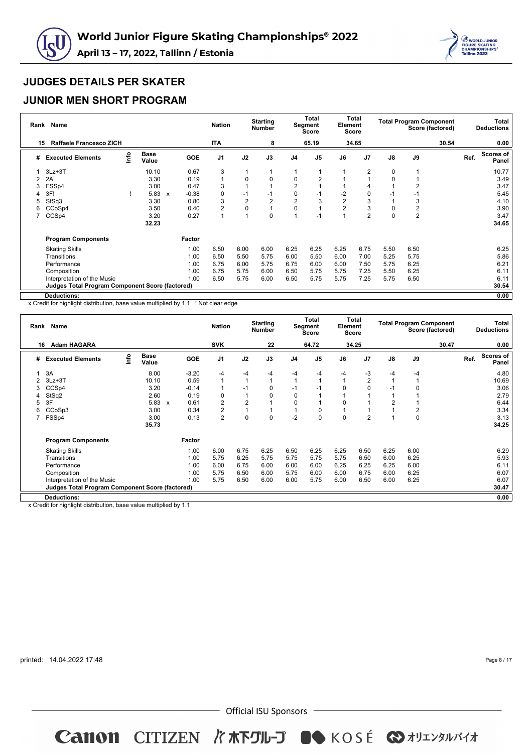



### **JUNIOR MEN SHORT PROGRAM**

|    | Rank Name                                              |      |                      |                           |            | <b>Nation</b>  |                | <b>Starting</b><br><b>Number</b> |                | <b>Total</b><br>Segment<br><b>Score</b> | Element        | Total<br><b>Score</b> |             | <b>Total Program Component</b> | Score (factored) |      | Total<br><b>Deductions</b> |
|----|--------------------------------------------------------|------|----------------------|---------------------------|------------|----------------|----------------|----------------------------------|----------------|-----------------------------------------|----------------|-----------------------|-------------|--------------------------------|------------------|------|----------------------------|
| 15 | <b>Raffaele Francesco ZICH</b>                         |      |                      |                           |            | <b>ITA</b>     |                | 8                                |                | 65.19                                   |                | 34.65                 |             |                                | 30.54            |      | 0.00                       |
| #  | <b>Executed Elements</b>                               | Info | <b>Base</b><br>Value |                           | <b>GOE</b> | J <sub>1</sub> | J2             | J3                               | J <sub>4</sub> | J <sub>5</sub>                          | J6             | J <sub>7</sub>        | J8          | J9                             |                  | Ref. | Scores of<br>Panel         |
|    | $3Lz + 3T$                                             |      | 10.10                |                           | 0.67       | 3              | 1              |                                  |                |                                         |                | 2                     | $\mathbf 0$ | 1                              |                  |      | 10.77                      |
| 2  | 2A                                                     |      | 3.30                 |                           | 0.19       | 1              | 0              | 0                                | 0              | $\overline{2}$                          |                |                       | 0           |                                |                  |      | 3.49                       |
| 3  | FSSp4                                                  |      | 3.00                 |                           | 0.47       | 3              | 1              |                                  | $\overline{2}$ |                                         |                |                       |             | 2                              |                  |      | 3.47                       |
| 4  | 3F!                                                    |      | 5.83                 | $\boldsymbol{\mathsf{x}}$ | $-0.38$    | 0              | $-1$           | $-1$                             | 0              | -1                                      | $-2$           | 0                     | $-1$        | $-1$                           |                  |      | 5.45                       |
| 5  | StSq3                                                  |      | 3.30                 |                           | 0.80       | 3              | $\overline{2}$ | $\overline{2}$                   | $\overline{2}$ | 3                                       | $\overline{2}$ | 3                     |             | 3                              |                  |      | 4.10                       |
| 6  | CCoSp4                                                 |      | 3.50                 |                           | 0.40       | $\overline{2}$ | 0              |                                  | $\mathbf 0$    |                                         | $\overline{2}$ | 3                     | 0           | $\overline{2}$                 |                  |      | 3.90                       |
|    | CCSp4                                                  |      | 3.20                 |                           | 0.27       | 1              | 1              | 0                                |                | $-1$                                    |                | $\overline{2}$        | 0           | $\overline{c}$                 |                  |      | 3.47                       |
|    |                                                        |      | 32.23                |                           |            |                |                |                                  |                |                                         |                |                       |             |                                |                  |      | 34.65                      |
|    | <b>Program Components</b>                              |      |                      |                           | Factor     |                |                |                                  |                |                                         |                |                       |             |                                |                  |      |                            |
|    | <b>Skating Skills</b>                                  |      |                      |                           | 1.00       | 6.50           | 6.00           | 6.00                             | 6.25           | 6.25                                    | 6.25           | 6.75                  | 5.50        | 6.50                           |                  |      | 6.25                       |
|    | Transitions                                            |      |                      |                           | 1.00       | 6.50           | 5.50           | 5.75                             | 6.00           | 5.50                                    | 6.00           | 7.00                  | 5.25        | 5.75                           |                  |      | 5.86                       |
|    | Performance                                            |      |                      |                           | 1.00       | 6.75           | 6.00           | 5.75                             | 6.75           | 6.00                                    | 6.00           | 7.50                  | 5.75        | 6.25                           |                  |      | 6.21                       |
|    | Composition                                            |      |                      |                           | 1.00       | 6.75           | 5.75           | 6.00                             | 6.50           | 5.75                                    | 5.75           | 7.25                  | 5.50        | 6.25                           |                  |      | 6.11                       |
|    | Interpretation of the Music                            |      |                      |                           | 1.00       | 6.50           | 5.75           | 6.00                             | 6.50           | 5.75                                    | 5.75           | 7.25                  | 5.75        | 6.50                           |                  |      | 6.11                       |
|    | <b>Judges Total Program Component Score (factored)</b> |      |                      |                           |            |                |                |                                  |                |                                         |                |                       |             |                                |                  |      | 30.54                      |
|    | Deductions:                                            |      |                      |                           |            |                |                |                                  |                |                                         |                |                       |             |                                |                  |      | 0.00                       |

x Credit for highlight distribution, base value multiplied by 1.1 ! Not clear edge

|    | Rank Name                                              |      |                      |              |            | <b>Nation</b>  |                | <b>Starting</b><br><b>Number</b> |                | Total<br>Segment<br>Score | Element  | Total<br>Score |                |      | <b>Total Program Component</b><br>Score (factored) |      | Total<br><b>Deductions</b> |
|----|--------------------------------------------------------|------|----------------------|--------------|------------|----------------|----------------|----------------------------------|----------------|---------------------------|----------|----------------|----------------|------|----------------------------------------------------|------|----------------------------|
| 16 | <b>Adam HAGARA</b>                                     |      |                      |              |            | <b>SVK</b>     |                | 22                               |                | 64.72                     |          | 34.25          |                |      | 30.47                                              |      | 0.00                       |
| #  | <b>Executed Elements</b>                               | lnfo | <b>Base</b><br>Value |              | <b>GOE</b> | J <sub>1</sub> | J2             | J3                               | J <sub>4</sub> | J <sub>5</sub>            | J6       | J <sub>7</sub> | $\mathsf{J}8$  | J9   |                                                    | Ref. | Scores of<br>Panel         |
|    | 3A                                                     |      | 8.00                 |              | $-3.20$    | -4             | $-4$           | $-4$                             | -4             | $-4$                      | -4       | -3             | -4             | $-4$ |                                                    |      | 4.80                       |
|    | $3Lz + 3T$                                             |      | 10.10                |              | 0.59       | $\mathbf{1}$   | $\mathbf{1}$   | 1                                |                |                           |          | 2              | 1              |      |                                                    |      | 10.69                      |
| 3  | CCSp4                                                  |      | 3.20                 |              | $-0.14$    | $\mathbf{1}$   | $-1$           | 0                                | $-1$           | -1                        | $\Omega$ |                | $-1$           | 0    |                                                    |      | 3.06                       |
|    | StSq2                                                  |      | 2.60                 |              | 0.19       | $\mathbf 0$    |                | 0                                | $\mathbf 0$    |                           |          |                |                |      |                                                    |      | 2.79                       |
| 5  | 3F                                                     |      | 5.83                 | $\mathbf{x}$ | 0.61       | $\overline{2}$ | $\overline{2}$ |                                  | 0              |                           | $\Omega$ |                | $\overline{2}$ |      |                                                    |      | 6.44                       |
| 6  | CCoSp3                                                 |      | 3.00                 |              | 0.34       | $\overline{2}$ |                |                                  |                | 0                         |          |                |                | 2    |                                                    |      | 3.34                       |
|    | FSSp4                                                  |      | 3.00                 |              | 0.13       | $\overline{2}$ | 0              | 0                                | $-2$           | 0                         | $\Omega$ | 2              | $\overline{A}$ | 0    |                                                    |      | 3.13                       |
|    |                                                        |      | 35.73                |              |            |                |                |                                  |                |                           |          |                |                |      |                                                    |      | 34.25                      |
|    | <b>Program Components</b>                              |      |                      |              | Factor     |                |                |                                  |                |                           |          |                |                |      |                                                    |      |                            |
|    | <b>Skating Skills</b>                                  |      |                      |              | 1.00       | 6.00           | 6.75           | 6.25                             | 6.50           | 6.25                      | 6.25     | 6.50           | 6.25           | 6.00 |                                                    |      | 6.29                       |
|    | Transitions                                            |      |                      |              | 1.00       | 5.75           | 6.25           | 5.75                             | 5.75           | 5.75                      | 5.75     | 6.50           | 6.00           | 6.25 |                                                    |      | 5.93                       |
|    | Performance                                            |      |                      |              | 1.00       | 6.00           | 6.75           | 6.00                             | 6.00           | 6.00                      | 6.25     | 6.25           | 6.25           | 6.00 |                                                    |      | 6.11                       |
|    | Composition                                            |      |                      |              | 1.00       | 5.75           | 6.50           | 6.00                             | 5.75           | 6.00                      | 6.00     | 6.75           | 6.00           | 6.25 |                                                    |      | 6.07                       |
|    | Interpretation of the Music                            |      |                      |              | 1.00       | 5.75           | 6.50           | 6.00                             | 6.00           | 5.75                      | 6.00     | 6.50           | 6.00           | 6.25 |                                                    |      | 6.07                       |
|    | <b>Judges Total Program Component Score (factored)</b> |      |                      |              |            |                |                |                                  |                |                           |          |                |                |      |                                                    |      | 30.47                      |
|    | <b>Deductions:</b>                                     |      |                      |              |            |                |                |                                  |                |                           |          |                |                |      |                                                    |      | 0.00                       |

x Credit for highlight distribution, base value multiplied by 1.1

printed: 14.04.2022 17:48

Page 8 / 17

 $-$  Official ISU Sponsors  $-$ 

**Canon CITIZEN バホ下グル-プ ●● KOSÉ ◆オリエンタルバイオ**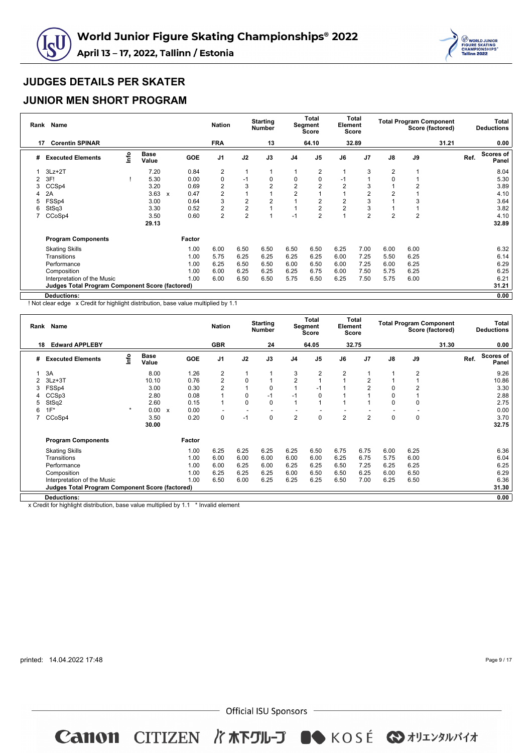



### **JUNIOR MEN SHORT PROGRAM**

| Rank | Name                                                   |      |                      |                           |            | <b>Nation</b>  |                | <b>Starting</b><br><b>Number</b> |                | <b>Total</b><br>Segment<br><b>Score</b> | Element        | Total<br><b>Score</b> |                | <b>Total Program Component</b> | Score (factored) |      | Total<br><b>Deductions</b> |
|------|--------------------------------------------------------|------|----------------------|---------------------------|------------|----------------|----------------|----------------------------------|----------------|-----------------------------------------|----------------|-----------------------|----------------|--------------------------------|------------------|------|----------------------------|
| 17   | <b>Corentin SPINAR</b>                                 |      |                      |                           |            | <b>FRA</b>     |                | 13                               |                | 64.10                                   |                | 32.89                 |                |                                | 31.21            |      | 0.00                       |
| #    | <b>Executed Elements</b>                               | lnfo | <b>Base</b><br>Value |                           | <b>GOE</b> | J <sub>1</sub> | J2             | J3                               | J <sub>4</sub> | J5                                      | J6             | J <sub>7</sub>        | J8             | J9                             |                  | Ref. | Scores of<br>Panel         |
|      | $3Lz + 2T$                                             |      | 7.20                 |                           | 0.84       | $\overline{2}$ | 1              |                                  |                | 2                                       |                | 3                     | $\overline{2}$ | 1                              |                  |      | 8.04                       |
| 2    | 3F!                                                    |      | 5.30                 |                           | 0.00       | 0              | $-1$           | 0                                | 0              | 0                                       | -1             |                       | 0              |                                |                  |      | 5.30                       |
| 3    | CCSp4                                                  |      | 3.20                 |                           | 0.69       | $\overline{2}$ | 3              | $\overline{2}$                   | $\overline{2}$ | $\overline{2}$                          | $\overline{2}$ | 3                     |                | $\overline{2}$                 |                  |      | 3.89                       |
|      | 2A                                                     |      | 3.63                 | $\boldsymbol{\mathsf{x}}$ | 0.47       | $\overline{2}$ |                |                                  | $\overline{2}$ |                                         |                | 2                     | 2              |                                |                  |      | 4.10                       |
| 5    | FSSp4                                                  |      | 3.00                 |                           | 0.64       | 3              | 2              | $\overline{2}$                   |                | $\overline{2}$                          | $\overline{2}$ | 3                     |                | 3                              |                  |      | 3.64                       |
| 6    | StSq3                                                  |      | 3.30                 |                           | 0.52       | $\overline{2}$ | $\overline{2}$ |                                  |                | $\overline{2}$                          | $\overline{2}$ | 3                     |                |                                |                  |      | 3.82                       |
|      | CCoSp4                                                 |      | 3.50                 |                           | 0.60       | $\overline{2}$ | $\overline{2}$ |                                  | $-1$           | $\overline{2}$                          |                | $\overline{2}$        | $\overline{2}$ | $\overline{2}$                 |                  |      | 4.10                       |
|      |                                                        |      | 29.13                |                           |            |                |                |                                  |                |                                         |                |                       |                |                                |                  |      | 32.89                      |
|      | <b>Program Components</b>                              |      |                      |                           | Factor     |                |                |                                  |                |                                         |                |                       |                |                                |                  |      |                            |
|      | <b>Skating Skills</b>                                  |      |                      |                           | 1.00       | 6.00           | 6.50           | 6.50                             | 6.50           | 6.50                                    | 6.25           | 7.00                  | 6.00           | 6.00                           |                  |      | 6.32                       |
|      | Transitions                                            |      |                      |                           | 1.00       | 5.75           | 6.25           | 6.25                             | 6.25           | 6.25                                    | 6.00           | 7.25                  | 5.50           | 6.25                           |                  |      | 6.14                       |
|      | Performance                                            |      |                      |                           | 1.00       | 6.25           | 6.50           | 6.50                             | 6.00           | 6.50                                    | 6.00           | 7.25                  | 6.00           | 6.25                           |                  |      | 6.29                       |
|      | Composition                                            |      |                      |                           | 1.00       | 6.00           | 6.25           | 6.25                             | 6.25           | 6.75                                    | 6.00           | 7.50                  | 5.75           | 6.25                           |                  |      | 6.25                       |
|      | Interpretation of the Music                            |      |                      |                           | 1.00       | 6.00           | 6.50           | 6.50                             | 5.75           | 6.50                                    | 6.25           | 7.50                  | 5.75           | 6.00                           |                  |      | 6.21                       |
|      | <b>Judges Total Program Component Score (factored)</b> |      |                      |                           |            |                |                |                                  |                |                                         |                |                       |                |                                |                  |      | 31.21                      |
|      | <b>Deductions:</b>                                     |      |                      |                           |            |                |                |                                  |                |                                         |                |                       |                |                                |                  |      | 0.00                       |

! Not clear edge x Credit for highlight distribution, base value multiplied by 1.1

|   | Rank Name                                       |         |                      |                           |            | <b>Nation</b>           |                          | <b>Starting</b><br><b>Number</b> |                | Total<br>Segment<br>Score | Element        | Total<br>Score |               |                | <b>Total Program Component</b><br>Score (factored) |      | Total<br><b>Deductions</b> |
|---|-------------------------------------------------|---------|----------------------|---------------------------|------------|-------------------------|--------------------------|----------------------------------|----------------|---------------------------|----------------|----------------|---------------|----------------|----------------------------------------------------|------|----------------------------|
|   | <b>Edward APPLEBY</b><br>18                     |         |                      |                           |            | <b>GBR</b>              |                          | 24                               |                | 64.05                     |                | 32.75          |               |                | 31.30                                              |      | 0.00                       |
| # | <b>Executed Elements</b>                        | lnfo    | <b>Base</b><br>Value |                           | <b>GOE</b> | J <sub>1</sub>          | J2                       | J3                               | J <sub>4</sub> | J <sub>5</sub>            | J6             | J <sub>7</sub> | $\mathsf{J}8$ | J9             |                                                    | Ref. | <b>Scores of</b><br>Panel  |
|   | 3A                                              |         | 8.00                 |                           | 1.26       | $\overline{\mathbf{c}}$ | 1                        |                                  | 3              | $\overline{2}$            | 2              |                |               | 2              |                                                    |      | 9.26                       |
| 2 | $3Lz + 3T$                                      |         | 10.10                |                           | 0.76       | $\overline{2}$          | 0                        |                                  | $\overline{2}$ |                           |                | 2              |               |                |                                                    |      | 10.86                      |
| 3 | FSSp4                                           |         | 3.00                 |                           | 0.30       | $\overline{2}$          |                          | 0                                |                | $-1$                      |                | $\overline{2}$ | 0             | $\overline{2}$ |                                                    |      | 3.30                       |
| 4 | CCSp3                                           |         | 2.80                 |                           | 0.08       |                         | 0                        | $-1$                             | $-1$           | 0                         |                |                | 0             |                |                                                    |      | 2.88                       |
| 5 | StSq2                                           |         | 2.60                 |                           | 0.15       | 1                       | 0                        | 0                                |                |                           |                |                | 0             | 0              |                                                    |      | 2.75                       |
| 6 | $1F^*$                                          | $\star$ | 0.00                 | $\boldsymbol{\mathsf{x}}$ | 0.00       |                         | $\overline{\phantom{a}}$ |                                  |                |                           |                |                |               |                |                                                    |      | 0.00                       |
|   | CCoSp4                                          |         | 3.50                 |                           | 0.20       | 0                       | $-1$                     | 0                                | 2              | $\mathbf 0$               | $\overline{2}$ | $\overline{2}$ | 0             | 0              |                                                    |      | 3.70                       |
|   |                                                 |         | 30.00                |                           |            |                         |                          |                                  |                |                           |                |                |               |                |                                                    |      | 32.75                      |
|   | <b>Program Components</b>                       |         |                      |                           | Factor     |                         |                          |                                  |                |                           |                |                |               |                |                                                    |      |                            |
|   | <b>Skating Skills</b>                           |         |                      |                           | 1.00       | 6.25                    | 6.25                     | 6.25                             | 6.25           | 6.50                      | 6.75           | 6.75           | 6.00          | 6.25           |                                                    |      | 6.36                       |
|   | Transitions                                     |         |                      |                           | 1.00       | 6.00                    | 6.00                     | 6.00                             | 6.00           | 6.00                      | 6.25           | 6.75           | 5.75          | 6.00           |                                                    |      | 6.04                       |
|   | Performance                                     |         |                      |                           | 1.00       | 6.00                    | 6.25                     | 6.00                             | 6.25           | 6.25                      | 6.50           | 7.25           | 6.25          | 6.25           |                                                    |      | 6.25                       |
|   | Composition                                     |         |                      |                           | 1.00       | 6.25                    | 6.25                     | 6.25                             | 6.00           | 6.50                      | 6.50           | 6.25           | 6.00          | 6.50           |                                                    |      | 6.29                       |
|   | Interpretation of the Music                     |         |                      |                           | 1.00       | 6.50                    | 6.00                     | 6.25                             | 6.25           | 6.25                      | 6.50           | 7.00           | 6.25          | 6.50           |                                                    |      | 6.36                       |
|   | Judges Total Program Component Score (factored) |         |                      |                           |            |                         |                          |                                  |                |                           |                |                |               |                |                                                    |      | 31.30                      |
|   | <b>Deductions:</b>                              |         |                      |                           |            |                         |                          |                                  |                |                           |                |                |               |                |                                                    |      | 0.00                       |

x Credit for highlight distribution, base value multiplied by 1.1 \* Invalid element

printed: 14.04.2022 17:48

Page 9 / 17

 $-$  Official ISU Sponsors  $-$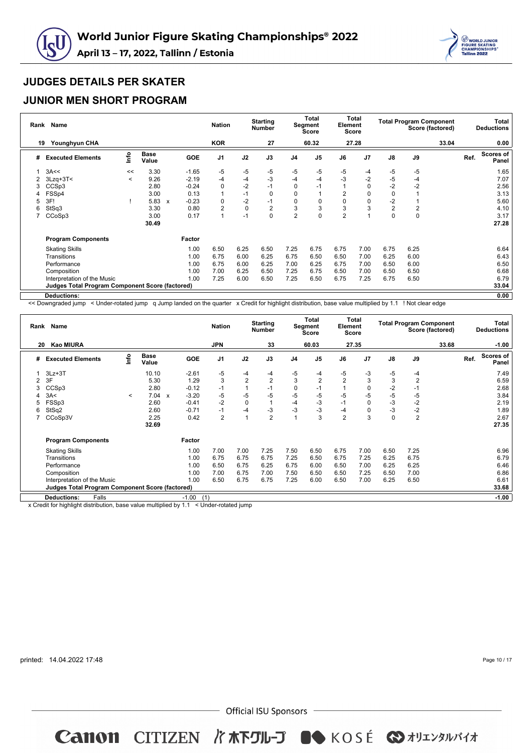



### **JUNIOR MEN SHORT PROGRAM**

| Rank | <b>Name</b>                                            |         |                      |                         | <b>Nation</b>  |      | <b>Starting</b><br><b>Number</b> |                | <b>Total</b><br>Segment<br><b>Score</b> | Element        | Total<br><b>Score</b> |                | <b>Total Program Component</b> | Score (factored) |      | Total<br><b>Deductions</b> |
|------|--------------------------------------------------------|---------|----------------------|-------------------------|----------------|------|----------------------------------|----------------|-----------------------------------------|----------------|-----------------------|----------------|--------------------------------|------------------|------|----------------------------|
| 19   | Younghyun CHA                                          |         |                      |                         | <b>KOR</b>     |      | 27                               |                | 60.32                                   |                | 27.28                 |                |                                | 33.04            |      | 0.00                       |
| #    | <b>Executed Elements</b>                               | info    | <b>Base</b><br>Value | <b>GOE</b>              | J <sub>1</sub> | J2   | J3                               | J <sub>4</sub> | J <sub>5</sub>                          | J6             | J7                    | $\mathsf{J}8$  | J9                             |                  | Ref. | Scores of<br>Panel         |
|      | 3A<<                                                   | <<      | 3.30                 | $-1.65$                 | -5             | $-5$ | $-5$                             | -5             | $-5$                                    | -5             | -4                    | -5             | -5                             |                  |      | 1.65                       |
| 2    | $3Lzq+3T<$                                             | $\,<\,$ | 9.26                 | $-2.19$                 | -4             | $-4$ | $-3$                             | $-4$           | $-4$                                    | $-3$           | $-2$                  | $-5$           | -4                             |                  |      | 7.07                       |
| 3    | CCSp3                                                  |         | 2.80                 | $-0.24$                 | 0              | $-2$ | $-1$                             | 0              | -1                                      |                | 0                     | $-2$           | $-2$                           |                  |      | 2.56                       |
|      | FSSp4                                                  |         | 3.00                 | 0.13                    | 1              | $-1$ | 0                                | 0              |                                         | $\overline{2}$ | 0                     | 0              |                                |                  |      | 3.13                       |
| 5    | 3F!                                                    |         | 5.83                 | $-0.23$<br>$\mathsf{x}$ | 0              | $-2$ | $-1$                             | 0              | 0                                       | 0              | 0                     | $-2$           |                                |                  |      | 5.60                       |
| 6    | StSq3                                                  |         | 3.30                 | 0.80                    | 2              | 0    | $\overline{2}$                   | 3              | 3                                       | 3              | 3                     | $\overline{2}$ | 2                              |                  |      | 4.10                       |
|      | CCoSp3                                                 |         | 3.00                 | 0.17                    | 1              | $-1$ | 0                                | $\overline{2}$ | $\overline{0}$                          | $\overline{2}$ |                       | $\mathbf 0$    | 0                              |                  |      | 3.17                       |
|      |                                                        |         | 30.49                |                         |                |      |                                  |                |                                         |                |                       |                |                                |                  |      | 27.28                      |
|      | <b>Program Components</b>                              |         |                      | Factor                  |                |      |                                  |                |                                         |                |                       |                |                                |                  |      |                            |
|      | <b>Skating Skills</b>                                  |         |                      | 1.00                    | 6.50           | 6.25 | 6.50                             | 7.25           | 6.75                                    | 6.75           | 7.00                  | 6.75           | 6.25                           |                  |      | 6.64                       |
|      | Transitions                                            |         |                      | 1.00                    | 6.75           | 6.00 | 6.25                             | 6.75           | 6.50                                    | 6.50           | 7.00                  | 6.25           | 6.00                           |                  |      | 6.43                       |
|      | Performance                                            |         |                      | 1.00                    | 6.75           | 6.00 | 6.25                             | 7.00           | 6.25                                    | 6.75           | 7.00                  | 6.50           | 6.00                           |                  |      | 6.50                       |
|      | Composition                                            |         |                      | 1.00                    | 7.00           | 6.25 | 6.50                             | 7.25           | 6.75                                    | 6.50           | 7.00                  | 6.50           | 6.50                           |                  |      | 6.68                       |
|      | Interpretation of the Music                            |         |                      | 1.00                    | 7.25           | 6.00 | 6.50                             | 7.25           | 6.50                                    | 6.75           | 7.25                  | 6.75           | 6.50                           |                  |      | 6.79                       |
|      | <b>Judges Total Program Component Score (factored)</b> |         |                      |                         |                |      |                                  |                |                                         |                |                       |                |                                |                  |      | 33.04                      |
|      | Deductions:                                            |         |                      |                         |                |      |                                  |                |                                         |                |                       |                |                                |                  |      | 0.00                       |

<< Downgraded jump < Under-rotated jump q Jump landed on the quarter x Credit for highlight distribution, base value multiplied by 1.1 ! Not clear edge

|    | Rank Name                                              |         |                      |              |            | <b>Nation</b>  |                | <b>Starting</b><br><b>Number</b> |                | <b>Total</b><br><b>Segment</b><br><b>Score</b> | Element        | Total<br>Score |               | <b>Total Program Component</b> | Score (factored) |      | <b>Total</b><br><b>Deductions</b> |
|----|--------------------------------------------------------|---------|----------------------|--------------|------------|----------------|----------------|----------------------------------|----------------|------------------------------------------------|----------------|----------------|---------------|--------------------------------|------------------|------|-----------------------------------|
| 20 | Kao MIURA                                              |         |                      |              |            | <b>JPN</b>     |                | 33                               |                | 60.03                                          |                | 27.35          |               |                                | 33.68            |      | $-1.00$                           |
| #  | <b>Executed Elements</b>                               | Info    | <b>Base</b><br>Value |              | <b>GOE</b> | J <sub>1</sub> | J2             | J3                               | J <sub>4</sub> | J <sub>5</sub>                                 | J6             | J <sub>7</sub> | $\mathsf{J}8$ | J9                             |                  | Ref. | Scores of<br>Panel                |
|    | $3Lz + 3T$                                             |         | 10.10                |              | $-2.61$    | -5             | $-4$           | -4                               | -5             | $-4$                                           | -5             | -3             | -5            | -4                             |                  |      | 7.49                              |
|    | 3F                                                     |         | 5.30                 |              | 1.29       | 3              | $\overline{2}$ | $\overline{2}$                   | 3              | $\overline{2}$                                 | $\overline{2}$ | 3              | 3             | $\overline{2}$                 |                  |      | 6.59                              |
|    | CCSp3                                                  |         | 2.80                 |              | $-0.12$    | $-1$           |                | $-1$                             | 0              | $-1$                                           |                | $\mathbf 0$    | $-2$          | $-1$                           |                  |      | 2.68                              |
|    | 3A<                                                    | $\prec$ | 7.04                 | $\mathbf{x}$ | $-3.20$    | $-5$           | -5             | $-5$                             | -5             | $-5$                                           | $-5$           | $-5$           | $-5$          | $-5$                           |                  |      | 3.84                              |
|    | FSSp3                                                  |         | 2.60                 |              | $-0.41$    | $-2$           | $\mathbf 0$    | $\overline{1}$                   | -4             | $-3$                                           | $-1$           | 0              | $-3$          | $-2$                           |                  |      | 2.19                              |
| 6  | StSq2                                                  |         | 2.60                 |              | $-0.71$    | $-1$           | $-4$           | -3                               | -3             | $-3$                                           | -4             |                | $-3$          | $-2$                           |                  |      | 1.89                              |
|    | CCoSp3V                                                |         | 2.25                 |              | 0.42       | $\overline{2}$ |                | $\overline{2}$                   |                | 3                                              | $\overline{2}$ | 3              | $\mathbf 0$   | $\overline{2}$                 |                  |      | 2.67                              |
|    |                                                        |         | 32.69                |              |            |                |                |                                  |                |                                                |                |                |               |                                |                  |      | 27.35                             |
|    | <b>Program Components</b>                              |         |                      |              | Factor     |                |                |                                  |                |                                                |                |                |               |                                |                  |      |                                   |
|    | <b>Skating Skills</b>                                  |         |                      |              | 1.00       | 7.00           | 7.00           | 7.25                             | 7.50           | 6.50                                           | 6.75           | 7.00           | 6.50          | 7.25                           |                  |      | 6.96                              |
|    | Transitions                                            |         |                      |              | 1.00       | 6.75           | 6.75           | 6.75                             | 7.25           | 6.50                                           | 6.75           | 7.25           | 6.25          | 6.75                           |                  |      | 6.79                              |
|    | Performance                                            |         |                      |              | 1.00       | 6.50           | 6.75           | 6.25                             | 6.75           | 6.00                                           | 6.50           | 7.00           | 6.25          | 6.25                           |                  |      | 6.46                              |
|    | Composition                                            |         |                      |              | 1.00       | 7.00           | 6.75           | 7.00                             | 7.50           | 6.50                                           | 6.50           | 7.25           | 6.50          | 7.00                           |                  |      | 6.86                              |
|    | Interpretation of the Music                            |         |                      |              | 1.00       | 6.50           | 6.75           | 6.75                             | 7.25           | 6.00                                           | 6.50           | 7.00           | 6.25          | 6.50                           |                  |      | 6.61                              |
|    | <b>Judges Total Program Component Score (factored)</b> |         |                      |              |            |                |                |                                  |                |                                                |                |                |               |                                |                  |      | 33.68                             |
|    | Falls<br><b>Deductions:</b>                            |         |                      |              | $-1.00$    | (1)            |                |                                  |                |                                                |                |                |               |                                |                  |      | $-1.00$                           |

x Credit for highlight distribution, base value multiplied by  $1.1 \leq$  Under-rotated jump

printed: 14.04.2022 17:48

Page 10 / 17

 $-$  Official ISU Sponsors  $-$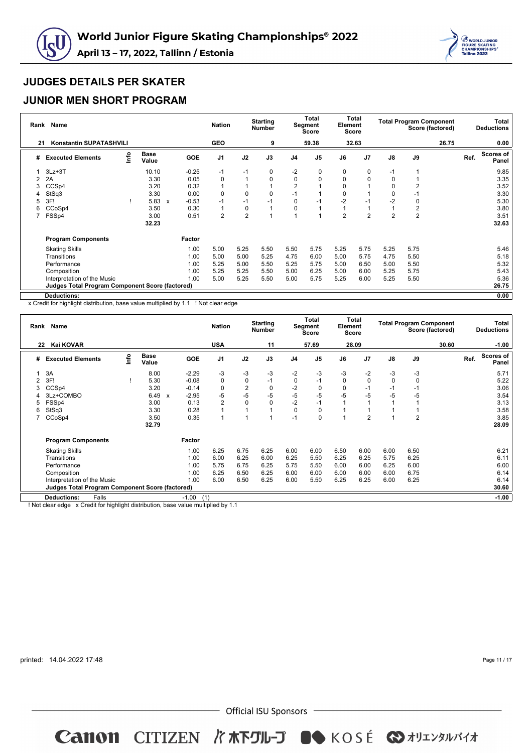



### **JUNIOR MEN SHORT PROGRAM**

| Rank | Name                                                   |      |                      |                           |            | <b>Nation</b>  |                | <b>Starting</b><br><b>Number</b> |                | <b>Total</b><br>Segment<br><b>Score</b> | Element        | Total<br><b>Score</b> |                |                | <b>Total Program Component</b><br>Score (factored) |      | Total<br><b>Deductions</b> |
|------|--------------------------------------------------------|------|----------------------|---------------------------|------------|----------------|----------------|----------------------------------|----------------|-----------------------------------------|----------------|-----------------------|----------------|----------------|----------------------------------------------------|------|----------------------------|
| 21   | <b>Konstantin SUPATASHVILI</b>                         |      |                      |                           |            | <b>GEO</b>     |                | 9                                |                | 59.38                                   |                | 32.63                 |                |                | 26.75                                              |      | 0.00                       |
| #    | <b>Executed Elements</b>                               | lnfo | <b>Base</b><br>Value |                           | <b>GOE</b> | J <sub>1</sub> | J2             | J3                               | J <sub>4</sub> | J <sub>5</sub>                          | J6             | J7                    | J8             | J9             |                                                    | Ref. | Scores of<br>Panel         |
|      | $3Lz + 3T$                                             |      | 10.10                |                           | $-0.25$    | $-1$           | $-1$           | 0                                | $-2$           | 0                                       | 0              | 0                     | $-1$           | 1              |                                                    |      | 9.85                       |
| 2    | 2A                                                     |      | 3.30                 |                           | 0.05       | 0              | 1              | 0                                | $\mathbf 0$    | 0                                       | 0              | $\Omega$              | 0              |                |                                                    |      | 3.35                       |
| 3    | CCSp4                                                  |      | 3.20                 |                           | 0.32       |                |                |                                  | $\overline{2}$ |                                         | 0              |                       | 0              | 2              |                                                    |      | 3.52                       |
| 4    | StSq3                                                  |      | 3.30                 |                           | 0.00       | 0              | 0              | 0                                | $-1$           |                                         | 0              |                       | 0              | $-1$           |                                                    |      | 3.30                       |
| 5    | 3F!                                                    |      | 5.83                 | $\boldsymbol{\mathsf{x}}$ | $-0.53$    | $-1$           | $-1$           | $-1$                             | 0              | $-1$                                    | $-2$           | $-1$                  | $-2$           | 0              |                                                    |      | 5.30                       |
| 6    | CCoSp4                                                 |      | 3.50                 |                           | 0.30       | $\overline{1}$ | 0              |                                  | $\mathbf 0$    |                                         |                |                       | 1              | $\overline{2}$ |                                                    |      | 3.80                       |
|      | FSSp4                                                  |      | 3.00                 |                           | 0.51       | $\overline{2}$ | $\overline{2}$ |                                  |                |                                         | $\overline{2}$ | $\overline{2}$        | $\overline{2}$ | $\overline{2}$ |                                                    |      | 3.51                       |
|      |                                                        |      | 32.23                |                           |            |                |                |                                  |                |                                         |                |                       |                |                |                                                    |      | 32.63                      |
|      | <b>Program Components</b>                              |      |                      |                           | Factor     |                |                |                                  |                |                                         |                |                       |                |                |                                                    |      |                            |
|      | <b>Skating Skills</b>                                  |      |                      |                           | 1.00       | 5.00           | 5.25           | 5.50                             | 5.50           | 5.75                                    | 5.25           | 5.75                  | 5.25           | 5.75           |                                                    |      | 5.46                       |
|      | Transitions                                            |      |                      |                           | 1.00       | 5.00           | 5.00           | 5.25                             | 4.75           | 6.00                                    | 5.00           | 5.75                  | 4.75           | 5.50           |                                                    |      | 5.18                       |
|      | Performance                                            |      |                      |                           | 1.00       | 5.25           | 5.00           | 5.50                             | 5.25           | 5.75                                    | 5.00           | 6.50                  | 5.00           | 5.50           |                                                    |      | 5.32                       |
|      | Composition                                            |      |                      |                           | 1.00       | 5.25           | 5.25           | 5.50                             | 5.00           | 6.25                                    | 5.00           | 6.00                  | 5.25           | 5.75           |                                                    |      | 5.43                       |
|      | Interpretation of the Music                            |      |                      |                           | 1.00       | 5.00           | 5.25           | 5.50                             | 5.00           | 5.75                                    | 5.25           | 6.00                  | 5.25           | 5.50           |                                                    |      | 5.36                       |
|      | <b>Judges Total Program Component Score (factored)</b> |      |                      |                           |            |                |                |                                  |                |                                         |                |                       |                |                |                                                    |      | 26.75                      |
|      | <b>Deductions:</b>                                     |      |                      |                           |            |                |                |                                  |                |                                         |                |                       |                |                |                                                    |      | 0.00                       |

x Credit for highlight distribution, base value multiplied by 1.1 ! Not clear edge

|    | Rank Name                                              |      |                      |                           |                | <b>Nation</b>  |                | <b>Starting</b><br><b>Number</b> |                | <b>Total</b><br>Segment<br><b>Score</b> | Element     | Total<br><b>Score</b> |             |                | <b>Total Program Component</b><br>Score (factored) |      | Total<br><b>Deductions</b> |
|----|--------------------------------------------------------|------|----------------------|---------------------------|----------------|----------------|----------------|----------------------------------|----------------|-----------------------------------------|-------------|-----------------------|-------------|----------------|----------------------------------------------------|------|----------------------------|
| 22 | <b>Kai KOVAR</b>                                       |      |                      |                           |                | <b>USA</b>     |                | 11                               |                | 57.69                                   |             | 28.09                 |             |                | 30.60                                              |      | $-1.00$                    |
| #  | <b>Executed Elements</b>                               | info | <b>Base</b><br>Value |                           | <b>GOE</b>     | J <sub>1</sub> | J2             | J3                               | J <sub>4</sub> | J <sub>5</sub>                          | J6          | J <sub>7</sub>        | J8          | J9             |                                                    | Ref. | <b>Scores of</b><br>Panel  |
|    | 3A                                                     |      | 8.00                 |                           | $-2.29$        | $-3$           | $-3$           | $-3$                             | $-2$           | $-3$                                    | $-3$        | $-2$                  | -3          | -3             |                                                    |      | 5.71                       |
| 2  | 3F!                                                    |      | 5.30                 |                           | $-0.08$        | $\pmb{0}$      | $\mathbf 0$    | $-1$                             | 0              | $-1$                                    | $\mathbf 0$ | 0                     | $\mathbf 0$ | 0              |                                                    |      | 5.22                       |
| 3  | CCSp4                                                  |      | 3.20                 |                           | $-0.14$        | $\mathbf 0$    | $\overline{2}$ | 0                                | $-2$           | 0                                       | $\mathbf 0$ | $-1$                  | $-1$        | $-1$           |                                                    |      | 3.06                       |
|    | 3Lz+COMBO                                              |      | 6.49                 | $\boldsymbol{\mathsf{x}}$ | $-2.95$        | $-5$           | $-5$           | $-5$                             | $-5$           | $-5$                                    | $-5$        | $-5$                  | $-5$        | -5             |                                                    |      | 3.54                       |
| 5  | FSSp4                                                  |      | 3.00                 |                           | 0.13           | $\overline{2}$ | 0              | 0                                | $-2$           | $-1$                                    |             |                       |             |                |                                                    |      | 3.13                       |
| 6  | StSq3                                                  |      | 3.30                 |                           | 0.28           | $\overline{1}$ |                |                                  | $\Omega$       | 0                                       |             |                       |             |                |                                                    |      | 3.58                       |
|    | CCoSp4                                                 |      | 3.50                 |                           | 0.35           | $\overline{1}$ |                |                                  | $-1$           | 0                                       |             | $\overline{2}$        | 1           | $\overline{c}$ |                                                    |      | 3.85                       |
|    |                                                        |      | 32.79                |                           |                |                |                |                                  |                |                                         |             |                       |             |                |                                                    |      | 28.09                      |
|    | <b>Program Components</b>                              |      |                      |                           | Factor         |                |                |                                  |                |                                         |             |                       |             |                |                                                    |      |                            |
|    | <b>Skating Skills</b>                                  |      |                      |                           | 1.00           | 6.25           | 6.75           | 6.25                             | 6.00           | 6.00                                    | 6.50        | 6.00                  | 6.00        | 6.50           |                                                    |      | 6.21                       |
|    | Transitions                                            |      |                      |                           | 1.00           | 6.00           | 6.25           | 6.00                             | 6.25           | 5.50                                    | 6.25        | 6.25                  | 5.75        | 6.25           |                                                    |      | 6.11                       |
|    | Performance                                            |      |                      |                           | 1.00           | 5.75           | 6.75           | 6.25                             | 5.75           | 5.50                                    | 6.00        | 6.00                  | 6.25        | 6.00           |                                                    |      | 6.00                       |
|    | Composition                                            |      |                      |                           | 1.00           | 6.25           | 6.50           | 6.25                             | 6.00           | 6.00                                    | 6.00        | 6.00                  | 6.00        | 6.75           |                                                    |      | 6.14                       |
|    | Interpretation of the Music                            |      |                      |                           | 1.00           | 6.00           | 6.50           | 6.25                             | 6.00           | 5.50                                    | 6.25        | 6.25                  | 6.00        | 6.25           |                                                    |      | 6.14                       |
|    | <b>Judges Total Program Component Score (factored)</b> |      |                      |                           |                |                |                |                                  |                |                                         |             |                       |             |                |                                                    |      | 30.60                      |
|    | Falls<br><b>Deductions:</b>                            |      |                      |                           | $-1.00$<br>(1) |                |                |                                  |                |                                         |             |                       |             |                |                                                    |      | $-1.00$                    |

! Not clear edge x Credit for highlight distribution, base value multiplied by 1.1

printed: 14.04.2022 17:48

Page 11 / 17

 $-$  Official ISU Sponsors  $-$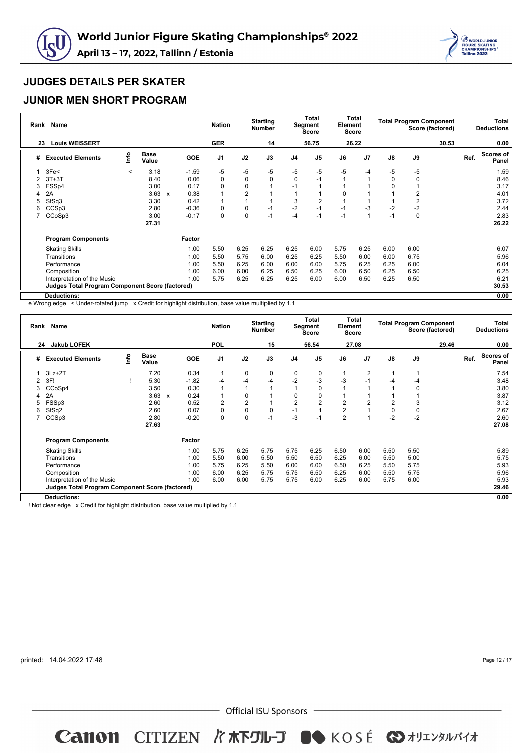



### **JUNIOR MEN SHORT PROGRAM**

| Rank | <b>Name</b>                                            |         |                      |              |         | <b>Nation</b>  |      | <b>Starting</b><br><b>Number</b> |                | <b>Total</b><br>Segment<br><b>Score</b> | Element | Total<br><b>Score</b> |               | <b>Total Program Component</b> | Score (factored) |      | Total<br><b>Deductions</b> |
|------|--------------------------------------------------------|---------|----------------------|--------------|---------|----------------|------|----------------------------------|----------------|-----------------------------------------|---------|-----------------------|---------------|--------------------------------|------------------|------|----------------------------|
| 23   | <b>Louis WEISSERT</b>                                  |         |                      |              |         | <b>GER</b>     |      | 14                               |                | 56.75                                   |         | 26.22                 |               |                                | 30.53            |      | 0.00                       |
| #    | <b>Executed Elements</b>                               | info    | <b>Base</b><br>Value |              | GOE     | J <sub>1</sub> | J2   | J3                               | J <sub>4</sub> | J <sub>5</sub>                          | J6      | J <sub>7</sub>        | $\mathsf{J}8$ | J9                             |                  | Ref. | Scores of<br>Panel         |
|      | 3Fe<                                                   | $\,<\,$ | 3.18                 |              | $-1.59$ | -5             | -5   | $-5$                             | -5             | $-5$                                    | -5      | -4                    | -5            | -5                             |                  |      | 1.59                       |
| 2    | $3T+3T$                                                |         | 8.40                 |              | 0.06    | 0              | 0    | 0                                | 0              | $-1$                                    |         |                       | $\mathbf 0$   | 0                              |                  |      | 8.46                       |
| 3    | FSSp4                                                  |         | 3.00                 |              | 0.17    | 0              | 0    |                                  | $-1$           |                                         |         |                       | $\Omega$      |                                |                  |      | 3.17                       |
| 4    | 2A                                                     |         | 3.63                 | $\mathsf{x}$ | 0.38    |                | 2    |                                  |                |                                         |         |                       |               | 2                              |                  |      | 4.01                       |
| 5    | StSq3                                                  |         | 3.30                 |              | 0.42    |                |      |                                  | 3              | 2                                       |         |                       |               | 2                              |                  |      | 3.72                       |
| 6    | CCS <sub>p3</sub>                                      |         | 2.80                 |              | $-0.36$ | 0              | 0    | $-1$                             | $-2$           | $-1$                                    | $-1$    | -3                    | $-2$          | $-2$                           |                  |      | 2.44                       |
|      | CCoSp3                                                 |         | 3.00                 |              | $-0.17$ | 0              | 0    | $-1$                             | -4             | $-1$                                    | $-1$    |                       | $-1$          | 0                              |                  |      | 2.83                       |
|      |                                                        |         | 27.31                |              |         |                |      |                                  |                |                                         |         |                       |               |                                |                  |      | 26.22                      |
|      | <b>Program Components</b>                              |         |                      |              | Factor  |                |      |                                  |                |                                         |         |                       |               |                                |                  |      |                            |
|      | <b>Skating Skills</b>                                  |         |                      |              | 1.00    | 5.50           | 6.25 | 6.25                             | 6.25           | 6.00                                    | 5.75    | 6.25                  | 6.00          | 6.00                           |                  |      | 6.07                       |
|      | Transitions                                            |         |                      |              | 1.00    | 5.50           | 5.75 | 6.00                             | 6.25           | 6.25                                    | 5.50    | 6.00                  | 6.00          | 6.75                           |                  |      | 5.96                       |
|      | Performance                                            |         |                      |              | 1.00    | 5.50           | 6.25 | 6.00                             | 6.00           | 6.00                                    | 5.75    | 6.25                  | 6.25          | 6.00                           |                  |      | 6.04                       |
|      | Composition                                            |         |                      |              | 1.00    | 6.00           | 6.00 | 6.25                             | 6.50           | 6.25                                    | 6.00    | 6.50                  | 6.25          | 6.50                           |                  |      | 6.25                       |
|      | Interpretation of the Music                            |         |                      |              | 1.00    | 5.75           | 6.25 | 6.25                             | 6.25           | 6.00                                    | 6.00    | 6.50                  | 6.25          | 6.50                           |                  |      | 6.21                       |
|      | <b>Judges Total Program Component Score (factored)</b> |         |                      |              |         |                |      |                                  |                |                                         |         |                       |               |                                |                  |      | 30.53                      |
|      | Deductions:                                            |         |                      |              |         |                |      |                                  |                |                                         |         |                       |               |                                |                  |      | 0.00                       |

e Wrong edge < Under-rotated jump x Credit for highlight distribution, base value multiplied by 1.1

|    | Rank Name                                       |      |                      |                           |            | <b>Nation</b>  |                | <b>Starting</b><br><b>Number</b> |                | Total<br>Segment<br>Score | Element        | Total<br><b>Score</b> |                |               | <b>Total Program Component</b><br>Score (factored) |      | Total<br><b>Deductions</b> |
|----|-------------------------------------------------|------|----------------------|---------------------------|------------|----------------|----------------|----------------------------------|----------------|---------------------------|----------------|-----------------------|----------------|---------------|----------------------------------------------------|------|----------------------------|
| 24 | <b>Jakub LOFEK</b>                              |      |                      |                           |            | <b>POL</b>     |                | 15                               |                | 56.54                     |                | 27.08                 |                |               | 29.46                                              |      | 0.00                       |
| #  | <b>Executed Elements</b>                        | lnfo | <b>Base</b><br>Value |                           | <b>GOE</b> | J <sub>1</sub> | J2             | J3                               | J <sub>4</sub> | J <sub>5</sub>            | J6             | J <sub>7</sub>        | $\mathsf{J}8$  | $\mathsf{J}9$ |                                                    | Ref. | <b>Scores of</b><br>Panel  |
|    | $3Lz + 2T$                                      |      | 7.20                 |                           | 0.34       | $\mathbf{1}$   | $\mathbf 0$    | 0                                | 0              | 0                         |                | $\overline{2}$        | $\overline{1}$ |               |                                                    |      | 7.54                       |
|    | 3F!                                             |      | 5.30                 |                           | $-1.82$    | -4             | $-4$           | $-4$                             | $-2$           | $-3$                      | -3             | $-1$                  | -4             | $-4$          |                                                    |      | 3.48                       |
|    | CCoSp4                                          |      | 3.50                 |                           | 0.30       | $\mathbf{1}$   |                |                                  |                | 0                         |                |                       |                | 0             |                                                    |      | 3.80                       |
|    | 2A                                              |      | 3.63                 | $\boldsymbol{\mathsf{x}}$ | 0.24       | $\mathbf{1}$   | $\mathbf 0$    |                                  | 0              | 0                         |                |                       |                |               |                                                    |      | 3.87                       |
| 5  | FSSp3                                           |      | 2.60                 |                           | 0.52       | $\overline{2}$ | $\overline{2}$ |                                  | $\overline{2}$ | $\overline{2}$            | $\overline{2}$ | $\overline{2}$        | $\overline{2}$ | 3             |                                                    |      | 3.12                       |
| 6  | StSq2                                           |      | 2.60                 |                           | 0.07       | $\mathbf 0$    | $\mathbf 0$    | $\mathbf 0$                      | $-1$           |                           | $\overline{2}$ |                       | 0              | $\pmb{0}$     |                                                    |      | 2.67                       |
|    | CCS <sub>p3</sub>                               |      | 2.80                 |                           | $-0.20$    | 0              | $\mathbf 0$    | $-1$                             | -3             | $-1$                      | $\overline{2}$ |                       | $-2$           | $-2$          |                                                    |      | 2.60                       |
|    |                                                 |      | 27.63                |                           |            |                |                |                                  |                |                           |                |                       |                |               |                                                    |      | 27.08                      |
|    | <b>Program Components</b>                       |      |                      |                           | Factor     |                |                |                                  |                |                           |                |                       |                |               |                                                    |      |                            |
|    | <b>Skating Skills</b>                           |      |                      |                           | 1.00       | 5.75           | 6.25           | 5.75                             | 5.75           | 6.25                      | 6.50           | 6.00                  | 5.50           | 5.50          |                                                    |      | 5.89                       |
|    | Transitions                                     |      |                      |                           | 1.00       | 5.50           | 6.00           | 5.50                             | 5.50           | 6.50                      | 6.25           | 6.00                  | 5.50           | 5.00          |                                                    |      | 5.75                       |
|    | Performance                                     |      |                      |                           | 1.00       | 5.75           | 6.25           | 5.50                             | 6.00           | 6.00                      | 6.50           | 6.25                  | 5.50           | 5.75          |                                                    |      | 5.93                       |
|    | Composition                                     |      |                      |                           | 1.00       | 6.00           | 6.25           | 5.75                             | 5.75           | 6.50                      | 6.25           | 6.00                  | 5.50           | 5.75          |                                                    |      | 5.96                       |
|    | Interpretation of the Music                     |      |                      |                           | 1.00       | 6.00           | 6.00           | 5.75                             | 5.75           | 6.00                      | 6.25           | 6.00                  | 5.75           | 6.00          |                                                    |      | 5.93                       |
|    | Judges Total Program Component Score (factored) |      |                      |                           |            |                |                |                                  |                |                           |                |                       |                |               |                                                    |      | 29.46                      |
|    | <b>Deductions:</b>                              |      |                      |                           |            |                |                |                                  |                |                           |                |                       |                |               |                                                    |      | 0.00                       |

! Not clear edge x Credit for highlight distribution, base value multiplied by 1.1

printed: 14.04.2022 17:48

Page 12 / 17

 $-$  Official ISU Sponsors  $-$ 

**Canon CITIZEN バホ下グル-プ ●● KOSÉ ◆オリエンタルバイオ**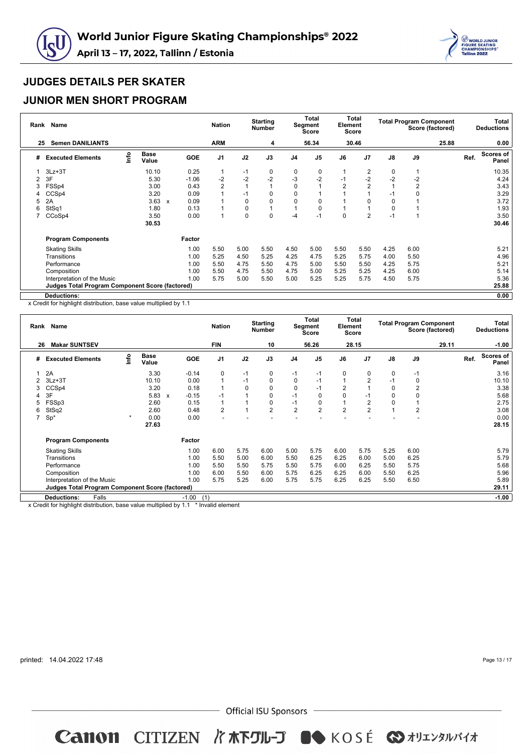



### **JUNIOR MEN SHORT PROGRAM**

| Rank | <b>Name</b><br><b>Semen DANILIANTS</b>                 |      |                      | <b>Nation</b>        |                | <b>Starting</b><br><b>Number</b> |      | <b>Total</b><br>Segment<br><b>Score</b> | Element        | Total<br><b>Score</b> |                | <b>Total Program Component</b> | Score (factored) |       | Total<br><b>Deductions</b> |                    |
|------|--------------------------------------------------------|------|----------------------|----------------------|----------------|----------------------------------|------|-----------------------------------------|----------------|-----------------------|----------------|--------------------------------|------------------|-------|----------------------------|--------------------|
| 25   |                                                        |      |                      |                      | <b>ARM</b>     |                                  | 4    |                                         | 56.34          |                       | 30.46          |                                |                  | 25.88 |                            | 0.00               |
| #    | <b>Executed Elements</b>                               | info | <b>Base</b><br>Value | <b>GOE</b>           | J <sub>1</sub> | J2                               | J3   | J <sub>4</sub>                          | J <sub>5</sub> | J6                    | J <sub>7</sub> | $\mathsf{J}8$                  | J9               |       | Ref.                       | Scores of<br>Panel |
|      | $3Lz + 3T$                                             |      | 10.10                | 0.25                 | 1              | $-1$                             | 0    | 0                                       | 0              |                       | 2              | 0                              |                  |       |                            | 10.35              |
| 2    | 3F                                                     |      | 5.30                 | $-1.06$              | $-2$           | $-2$                             | $-2$ | $-3$                                    | $-2$           | $-1$                  | $-2$           | $-2$                           | $-2$             |       |                            | 4.24               |
| 3    | FSSp4                                                  |      | 3.00                 | 0.43                 | 2              | 1                                |      | 0                                       |                | $\overline{2}$        | $\overline{2}$ |                                | 2                |       |                            | 3.43               |
|      | CCSp4                                                  |      | 3.20                 | 0.09                 | 1              | $-1$                             | 0    | 0                                       |                |                       |                | $-1$                           | 0                |       |                            | 3.29               |
| 5    | 2A                                                     |      | 3.63                 | 0.09<br>$\mathsf{x}$ |                | 0                                | 0    | $\mathbf 0$                             |                |                       |                | 0                              |                  |       |                            | 3.72               |
| 6    | StSq1                                                  |      | 1.80                 | 0.13                 |                | 0                                |      |                                         | 0              |                       |                | 0                              |                  |       |                            | 1.93               |
|      | CCoSp4                                                 |      | 3.50                 | 0.00                 | 1              | 0                                | 0    | -4                                      | $-1$           | 0                     | $\overline{2}$ | $-1$                           |                  |       |                            | 3.50               |
|      |                                                        |      | 30.53                |                      |                |                                  |      |                                         |                |                       |                |                                |                  |       |                            | 30.46              |
|      | <b>Program Components</b>                              |      |                      | Factor               |                |                                  |      |                                         |                |                       |                |                                |                  |       |                            |                    |
|      | <b>Skating Skills</b>                                  |      |                      | 1.00                 | 5.50           | 5.00                             | 5.50 | 4.50                                    | 5.00           | 5.50                  | 5.50           | 4.25                           | 6.00             |       |                            | 5.21               |
|      | Transitions                                            |      |                      | 1.00                 | 5.25           | 4.50                             | 5.25 | 4.25                                    | 4.75           | 5.25                  | 5.75           | 4.00                           | 5.50             |       |                            | 4.96               |
|      | Performance                                            |      |                      | 1.00                 | 5.50           | 4.75                             | 5.50 | 4.75                                    | 5.00           | 5.50                  | 5.50           | 4.25                           | 5.75             |       |                            | 5.21               |
|      | Composition                                            |      |                      | 1.00                 | 5.50           | 4.75                             | 5.50 | 4.75                                    | 5.00           | 5.25                  | 5.25           | 4.25                           | 6.00             |       |                            | 5.14               |
|      | Interpretation of the Music                            |      |                      | 1.00                 | 5.75           | 5.00                             | 5.50 | 5.00                                    | 5.25           | 5.25                  | 5.75           | 4.50                           | 5.75             |       |                            | 5.36               |
|      | <b>Judges Total Program Component Score (factored)</b> |      |                      |                      |                |                                  |      |                                         |                |                       |                |                                |                  |       |                            | 25.88              |
|      | Deductions:                                            |      |                      |                      |                |                                  |      |                                         |                |                       |                |                                |                  |       |                            | 0.00               |

x Credit for highlight distribution, base value multiplied by 1.1

| Rank | <b>Name</b>                                            |         |                      |                           |         | <b>Nation</b>  |          | <b>Starting</b><br><b>Number</b> |                | <b>Total</b><br>Segment<br><b>Score</b> | Element        | Total<br>Score |             | <b>Total Program Component</b> | Score (factored) |      | Total<br><b>Deductions</b> |
|------|--------------------------------------------------------|---------|----------------------|---------------------------|---------|----------------|----------|----------------------------------|----------------|-----------------------------------------|----------------|----------------|-------------|--------------------------------|------------------|------|----------------------------|
| 26   | <b>Makar SUNTSEV</b>                                   |         |                      |                           |         | <b>FIN</b>     |          | 10                               |                | 56.26                                   |                | 28.15          |             |                                | 29.11            |      | $-1.00$                    |
| #    | <b>Executed Elements</b>                               | info    | <b>Base</b><br>Value |                           | GOE     | J <sub>1</sub> | J2       | J3                               | J <sub>4</sub> | J <sub>5</sub>                          | J6             | J <sub>7</sub> | J8          | J9                             |                  | Ref. | <b>Scores of</b><br>Panel  |
|      | 2A                                                     |         | 3.30                 |                           | $-0.14$ | 0              | $-1$     | 0                                | $-1$           | $-1$                                    | 0              | 0              | $\mathbf 0$ | $-1$                           |                  |      | 3.16                       |
|      | $3Lz + 3T$                                             |         | 10.10                |                           | 0.00    | 1              | $-1$     | 0                                | 0              | $-1$                                    |                | $\overline{2}$ | $-1$        | 0                              |                  |      | 10.10                      |
| 3    | CCSp4                                                  |         | 3.20                 |                           | 0.18    | 1              | $\Omega$ | $\Omega$                         | $\Omega$       | $-1$                                    | $\overline{2}$ |                | $\Omega$    | $\overline{2}$                 |                  |      | 3.38                       |
|      | 3F                                                     |         | 5.83                 | $\boldsymbol{\mathsf{x}}$ | $-0.15$ | $-1$           |          | $\Omega$                         | $-1$           | $\Omega$                                | $\Omega$       | $-1$           | 0           | 0                              |                  |      | 5.68                       |
| 5    | FSSp3                                                  |         | 2.60                 |                           | 0.15    | $\overline{1}$ |          | 0                                | $-1$           | 0                                       |                | $\overline{2}$ | 0           |                                |                  |      | 2.75                       |
| 6    | StSq2                                                  |         | 2.60                 |                           | 0.48    | $\overline{2}$ |          | $\overline{2}$                   | $\overline{2}$ | $\overline{2}$                          | $\overline{2}$ | $\overline{2}$ | 1           | $\overline{2}$                 |                  |      | 3.08                       |
| 7    | $Sp^*$                                                 | $\star$ | 0.00                 |                           | 0.00    |                |          |                                  |                |                                         |                |                |             |                                |                  |      | 0.00                       |
|      |                                                        |         | 27.63                |                           |         |                |          |                                  |                |                                         |                |                |             |                                |                  |      | 28.15                      |
|      | <b>Program Components</b>                              |         |                      |                           | Factor  |                |          |                                  |                |                                         |                |                |             |                                |                  |      |                            |
|      | <b>Skating Skills</b>                                  |         |                      |                           | 1.00    | 6.00           | 5.75     | 6.00                             | 5.00           | 5.75                                    | 6.00           | 5.75           | 5.25        | 6.00                           |                  |      | 5.79                       |
|      | Transitions                                            |         |                      |                           | 1.00    | 5.50           | 5.00     | 6.00                             | 5.50           | 6.25                                    | 6.25           | 6.00           | 5.00        | 6.25                           |                  |      | 5.79                       |
|      | Performance                                            |         |                      |                           | 1.00    | 5.50           | 5.50     | 5.75                             | 5.50           | 5.75                                    | 6.00           | 6.25           | 5.50        | 5.75                           |                  |      | 5.68                       |
|      | Composition                                            |         |                      |                           | 1.00    | 6.00           | 5.50     | 6.00                             | 5.75           | 6.25                                    | 6.25           | 6.00           | 5.50        | 6.25                           |                  |      | 5.96                       |
|      | Interpretation of the Music                            |         |                      |                           | 1.00    | 5.75           | 5.25     | 6.00                             | 5.75           | 5.75                                    | 6.25           | 6.25           | 5.50        | 6.50                           |                  |      | 5.89                       |
|      | <b>Judges Total Program Component Score (factored)</b> |         |                      |                           |         |                |          |                                  |                |                                         |                |                |             |                                |                  |      | 29.11                      |
|      | Falls<br><b>Deductions:</b>                            |         |                      |                           | $-1.00$ | (1)            |          |                                  |                |                                         |                |                |             |                                |                  |      | $-1.00$                    |

x Credit for highlight distribution, base value multiplied by 1.1 \* Invalid element

printed: 14.04.2022 17:48

Page 13 / 17

 $-$  Official ISU Sponsors  $-$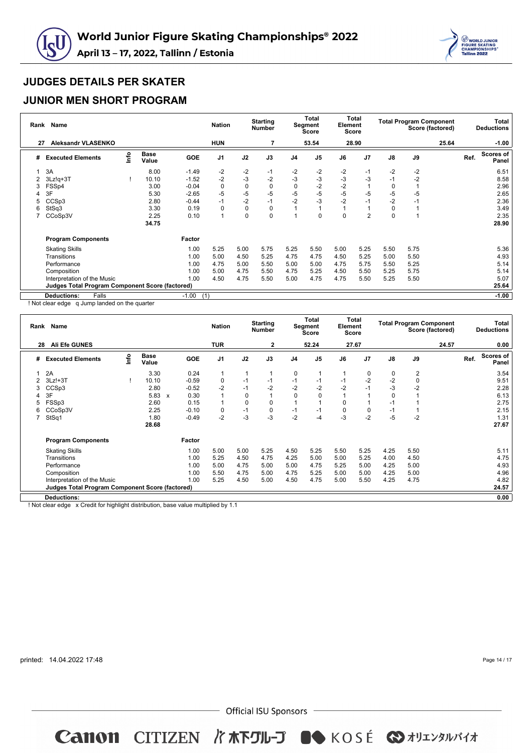



#### **JUNIOR MEN SHORT PROGRAM**

| Rank | Name                                                   |      |                      |            | <b>Nation</b> |             | <b>Starting</b><br><b>Number</b> |                | <b>Total</b><br>Segment<br><b>Score</b> | Element | Total<br>Score |               | <b>Total Program Component</b> | Score (factored) |      | Total<br><b>Deductions</b> |
|------|--------------------------------------------------------|------|----------------------|------------|---------------|-------------|----------------------------------|----------------|-----------------------------------------|---------|----------------|---------------|--------------------------------|------------------|------|----------------------------|
| 27   | <b>Aleksandr VLASENKO</b>                              |      |                      |            | <b>HUN</b>    |             |                                  |                | 53.54                                   |         | 28.90          |               |                                | 25.64            |      | $-1.00$                    |
| #    | <b>Executed Elements</b>                               | Info | <b>Base</b><br>Value | <b>GOE</b> | J1            | J2          | J3                               | J <sub>4</sub> | J <sub>5</sub>                          | J6      | J7             | $\mathsf{J}8$ | J9                             |                  | Ref. | <b>Scores of</b><br>Panel  |
|      | 3A                                                     |      | 8.00                 | $-1.49$    | $-2$          | $-2$        | $-1$                             | $-2$           | $-2$                                    | $-2$    | $-1$           | $-2$          | $-2$                           |                  |      | 6.51                       |
|      | $3Lz!q+3T$                                             |      | 10.10                | $-1.52$    | $-2$          | $-3$        | $-2$                             | $-3$           | $-3$                                    | $-3$    | -3             | $-1$          | $-2$                           |                  |      | 8.58                       |
| 3    | FSSp4                                                  |      | 3.00                 | $-0.04$    | $\mathbf 0$   | 0           | 0                                | $\Omega$       | $-2$                                    | $-2$    |                | 0             |                                |                  |      | 2.96                       |
| 4    | 3F                                                     |      | 5.30                 | $-2.65$    | $-5$          | $-5$        | -5                               | -5             | -5                                      | $-5$    | $-5$           | -5            | -5                             |                  |      | 2.65                       |
| 5    | CCS <sub>p3</sub>                                      |      | 2.80                 | $-0.44$    | $-1$          | $-2$        | $-1$                             | $-2$           | -3                                      | $-2$    | $-1$           | $-2$          | -1                             |                  |      | 2.36                       |
| 6    | StSq3                                                  |      | 3.30                 | 0.19       | $\mathbf 0$   | $\mathbf 0$ | $\Omega$                         |                |                                         |         |                | 0             |                                |                  |      | 3.49                       |
|      | CCoSp3V                                                |      | 2.25                 | 0.10       | 1             | 0           | $\Omega$                         |                | O                                       | O       | 2              | 0             |                                |                  |      | 2.35                       |
|      |                                                        |      | 34.75                |            |               |             |                                  |                |                                         |         |                |               |                                |                  |      | 28.90                      |
|      | <b>Program Components</b>                              |      |                      | Factor     |               |             |                                  |                |                                         |         |                |               |                                |                  |      |                            |
|      | <b>Skating Skills</b>                                  |      |                      | 1.00       | 5.25          | 5.00        | 5.75                             | 5.25           | 5.50                                    | 5.00    | 5.25           | 5.50          | 5.75                           |                  |      | 5.36                       |
|      | Transitions                                            |      |                      | 1.00       | 5.00          | 4.50        | 5.25                             | 4.75           | 4.75                                    | 4.50    | 5.25           | 5.00          | 5.50                           |                  |      | 4.93                       |
|      | Performance                                            |      |                      | 1.00       | 4.75          | 5.00        | 5.50                             | 5.00           | 5.00                                    | 4.75    | 5.75           | 5.50          | 5.25                           |                  |      | 5.14                       |
|      | Composition                                            |      |                      | 1.00       | 5.00          | 4.75        | 5.50                             | 4.75           | 5.25                                    | 4.50    | 5.50           | 5.25          | 5.75                           |                  |      | 5.14                       |
|      | Interpretation of the Music                            |      |                      | 1.00       | 4.50          | 4.75        | 5.50                             | 5.00           | 4.75                                    | 4.75    | 5.50           | 5.25          | 5.50                           |                  |      | 5.07                       |
|      | <b>Judges Total Program Component Score (factored)</b> |      |                      |            |               |             |                                  |                |                                         |         |                |               |                                |                  |      | 25.64                      |
|      | <b>Deductions:</b><br>Falls                            |      |                      | $-1.00$    | (1)           |             |                                  |                |                                         |         |                |               |                                |                  |      | $-1.00$                    |

! Not clear edge q Jump landed on the quarter

| Rank | Name                                            |      |                      |   |         | <b>Nation</b>  |             | <b>Starting</b><br><b>Number</b> |                | <b>Total</b><br>Segment<br>Score | Element | Total<br><b>Score</b> |             | <b>Total Program Component</b> | Score (factored) |      | Total<br><b>Deductions</b> |
|------|-------------------------------------------------|------|----------------------|---|---------|----------------|-------------|----------------------------------|----------------|----------------------------------|---------|-----------------------|-------------|--------------------------------|------------------|------|----------------------------|
| 28   | <b>Ali Efe GUNES</b>                            |      |                      |   |         | <b>TUR</b>     |             | 2                                |                | 52.24                            |         | 27.67                 |             |                                | 24.57            |      | 0.00                       |
| #    | <b>Executed Elements</b>                        | Info | <b>Base</b><br>Value |   | GOE     | J <sub>1</sub> | J2          | J3                               | J <sub>4</sub> | J5                               | J6      | J <sub>7</sub>        | J8          | J9                             |                  | Ref. | Scores of<br>Panel         |
|      | 2A                                              |      | 3.30                 |   | 0.24    | 1              |             |                                  | 0              |                                  |         | 0                     | 0           | 2                              |                  |      | 3.54                       |
|      | $3Lz! + 3T$                                     |      | 10.10                |   | $-0.59$ | 0              | $-1$        | $-1$                             | $-1$           | -1                               | $-1$    | $-2$                  | $-2$        | 0                              |                  |      | 9.51                       |
| 3    | CCSp3                                           |      | 2.80                 |   | $-0.52$ | $-2$           | $-1$        | $-2$                             | $-2$           | $-2$                             | $-2$    | $-1$                  | $-3$        | $-2$                           |                  |      | 2.28                       |
|      | 3F                                              |      | 5.83                 | X | 0.30    | 1              | $\mathbf 0$ |                                  | $\Omega$       | 0                                |         |                       | $\mathbf 0$ |                                |                  |      | 6.13                       |
| 5    | FSSp3                                           |      | 2.60                 |   | 0.15    |                | $\mathbf 0$ | 0                                |                |                                  | 0       |                       | $-1$        |                                |                  |      | 2.75                       |
| 6    | CCoSp3V                                         |      | 2.25                 |   | $-0.10$ | 0              | $-1$        | $\mathbf 0$                      | $-1$           | -1                               | 0       | $\mathbf 0$           | $-1$        |                                |                  |      | 2.15                       |
| 7    | StSq1                                           |      | 1.80                 |   | $-0.49$ | $-2$           | $-3$        | -3                               | $-2$           | -4                               | $-3$    | $-2$                  | $-5$        | $-2$                           |                  |      | 1.31                       |
|      |                                                 |      | 28.68                |   |         |                |             |                                  |                |                                  |         |                       |             |                                |                  |      | 27.67                      |
|      | <b>Program Components</b>                       |      |                      |   | Factor  |                |             |                                  |                |                                  |         |                       |             |                                |                  |      |                            |
|      | <b>Skating Skills</b>                           |      |                      |   | 1.00    | 5.00           | 5.00        | 5.25                             | 4.50           | 5.25                             | 5.50    | 5.25                  | 4.25        | 5.50                           |                  |      | 5.11                       |
|      | Transitions                                     |      |                      |   | 1.00    | 5.25           | 4.50        | 4.75                             | 4.25           | 5.00                             | 5.00    | 5.25                  | 4.00        | 4.50                           |                  |      | 4.75                       |
|      | Performance                                     |      |                      |   | 1.00    | 5.00           | 4.75        | 5.00                             | 5.00           | 4.75                             | 5.25    | 5.00                  | 4.25        | 5.00                           |                  |      | 4.93                       |
|      | Composition                                     |      |                      |   | 1.00    | 5.50           | 4.75        | 5.00                             | 4.75           | 5.25                             | 5.00    | 5.00                  | 4.25        | 5.00                           |                  |      | 4.96                       |
|      | Interpretation of the Music                     |      |                      |   | 1.00    | 5.25           | 4.50        | 5.00                             | 4.50           | 4.75                             | 5.00    | 5.50                  | 4.25        | 4.75                           |                  |      | 4.82                       |
|      | Judges Total Program Component Score (factored) |      |                      |   |         |                |             |                                  |                |                                  |         |                       |             |                                |                  |      | 24.57                      |
|      | <b>Deductions:</b>                              |      |                      |   |         |                |             |                                  |                |                                  |         |                       |             |                                |                  |      | 0.00                       |

! Not clear edge x Credit for highlight distribution, base value multiplied by 1.1

printed: 14.04.2022 17:48

Page 14 / 17

 $-$  Official ISU Sponsors  $-$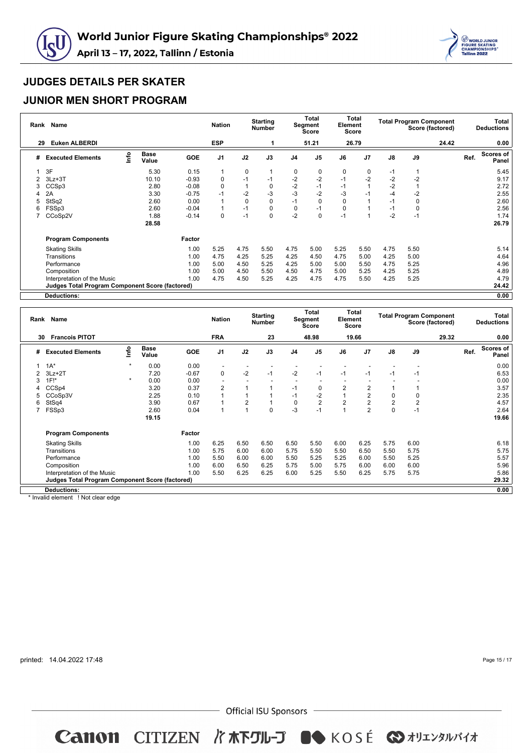



### **JUNIOR MEN SHORT PROGRAM**

| Rank | Name<br><b>Euken ALBERDI</b>                           |      |                      | <b>Nation</b> |                | <b>Starting</b><br><b>Number</b> |      | <b>Total</b><br>Segment<br><b>Score</b> | Element | Total<br><b>Score</b> |                | <b>Total Program Component</b><br>Score (factored) |      |       | Total<br><b>Deductions</b> |                    |
|------|--------------------------------------------------------|------|----------------------|---------------|----------------|----------------------------------|------|-----------------------------------------|---------|-----------------------|----------------|----------------------------------------------------|------|-------|----------------------------|--------------------|
| 29   |                                                        |      |                      |               | <b>ESP</b>     |                                  |      |                                         | 51.21   |                       | 26.79          |                                                    |      | 24.42 |                            | 0.00               |
| #    | <b>Executed Elements</b>                               | lnfo | <b>Base</b><br>Value | <b>GOE</b>    | J <sub>1</sub> | J2                               | J3   | J <sub>4</sub>                          | J5      | J6                    | J <sub>7</sub> | J8                                                 | J9   |       | Ref.                       | Scores of<br>Panel |
|      | 3F                                                     |      | 5.30                 | 0.15          | 1              | $\mathbf 0$                      |      | 0                                       | 0       | 0                     | 0              | $-1$                                               | 1    |       |                            | 5.45               |
| 2    | $3Lz + 3T$                                             |      | 10.10                | $-0.93$       | 0              | $-1$                             | $-1$ | $-2$                                    | $-2$    | $-1$                  | $-2$           | $-2$                                               | $-2$ |       |                            | 9.17               |
| 3    | CCSp3                                                  |      | 2.80                 | $-0.08$       | 0              | 1                                | 0    | $-2$                                    | $-1$    | $-1$                  |                | $-2$                                               | 1    |       |                            | 2.72               |
| 4    | 2A                                                     |      | 3.30                 | $-0.75$       | $-1$           | $-2$                             | $-3$ | $-3$                                    | $-2$    | -3                    | $-1$           | $-4$                                               | $-2$ |       |                            | 2.55               |
| 5    | StSq2                                                  |      | 2.60                 | 0.00          | 1              | $\mathbf 0$                      | 0    | $-1$                                    | 0       | 0                     |                | $-1$                                               | 0    |       |                            | 2.60               |
| 6    | FSSp3                                                  |      | 2.60                 | $-0.04$       | 1              | $-1$                             | 0    | 0                                       | -1      | 0                     |                | $-1$                                               | 0    |       |                            | 2.56               |
|      | CCoSp2V                                                |      | 1.88                 | $-0.14$       | 0              | $-1$                             | 0    | $-2$                                    | 0       | $-1$                  |                | $-2$                                               | $-1$ |       |                            | 1.74               |
|      |                                                        |      | 28.58                |               |                |                                  |      |                                         |         |                       |                |                                                    |      |       |                            | 26.79              |
|      | <b>Program Components</b>                              |      |                      | Factor        |                |                                  |      |                                         |         |                       |                |                                                    |      |       |                            |                    |
|      | <b>Skating Skills</b>                                  |      |                      | 1.00          | 5.25           | 4.75                             | 5.50 | 4.75                                    | 5.00    | 5.25                  | 5.50           | 4.75                                               | 5.50 |       |                            | 5.14               |
|      | Transitions                                            |      |                      | 1.00          | 4.75           | 4.25                             | 5.25 | 4.25                                    | 4.50    | 4.75                  | 5.00           | 4.25                                               | 5.00 |       |                            | 4.64               |
|      | Performance                                            |      |                      | 1.00          | 5.00           | 4.50                             | 5.25 | 4.25                                    | 5.00    | 5.00                  | 5.50           | 4.75                                               | 5.25 |       |                            | 4.96               |
|      | Composition                                            |      |                      | 1.00          | 5.00           | 4.50                             | 5.50 | 4.50                                    | 4.75    | 5.00                  | 5.25           | 4.25                                               | 5.25 |       |                            | 4.89               |
|      | Interpretation of the Music                            |      |                      | 1.00          | 4.75           | 4.50                             | 5.25 | 4.25                                    | 4.75    | 4.75                  | 5.50           | 4.25                                               | 5.25 |       |                            | 4.79               |
|      | <b>Judges Total Program Component Score (factored)</b> |      |                      |               |                |                                  |      |                                         |         |                       |                |                                                    |      |       |                            | 24.42              |
|      | <b>Deductions:</b>                                     |      |                      |               |                |                                  |      |                                         |         |                       |                |                                                    |      |       |                            | 0.00               |

| Rank | <b>Name</b>                                            |         |                      |         | <b>Nation</b>            |                | <b>Starting</b><br><b>Number</b> |      | Total<br>Segment<br>Score | Element | <b>Total</b><br>Score |                |                | <b>Total Program Component</b><br>Score (factored) |      | Total<br><b>Deductions</b> |
|------|--------------------------------------------------------|---------|----------------------|---------|--------------------------|----------------|----------------------------------|------|---------------------------|---------|-----------------------|----------------|----------------|----------------------------------------------------|------|----------------------------|
|      | <b>Francois PITOT</b><br>30                            |         |                      |         | <b>FRA</b>               |                | 23                               |      | 48.98                     |         | 19.66                 |                |                | 29.32                                              |      | 0.00                       |
| #    | <b>Executed Elements</b>                               | Info    | <b>Base</b><br>Value | GOE     | J <sub>1</sub>           | J2             | J3                               | J4   | J <sub>5</sub>            | J6      | J <sub>7</sub>        | $\mathsf{J}8$  | $\mathsf{J}9$  |                                                    | Ref. | Scores of<br>Panel         |
|      | $1A^*$                                                 | $\star$ | 0.00                 | 0.00    | $\overline{\phantom{a}}$ |                |                                  |      |                           |         |                       |                |                |                                                    |      | 0.00                       |
|      | $3Lz + 2T$                                             |         | 7.20                 | $-0.67$ | 0                        | $-2$           | $-1$                             | $-2$ | $-1$                      | $-1$    | $-1$                  | $-1$           | $-1$           |                                                    |      | 6.53                       |
| 3    | $1F!^*$                                                | $\star$ | 0.00                 | 0.00    |                          |                |                                  |      |                           |         |                       |                |                |                                                    |      | 0.00                       |
|      | CCS <sub>p4</sub>                                      |         | 3.20                 | 0.37    | 2                        |                |                                  | $-1$ | 0                         | 2       | 2                     |                |                |                                                    |      | 3.57                       |
|      | CCoSp3V                                                |         | 2.25                 | 0.10    |                          |                |                                  | $-1$ | $-2$                      |         | $\overline{2}$        | 0              | 0              |                                                    |      | 2.35                       |
| 6    | StSq4                                                  |         | 3.90                 | 0.67    |                          | 2              |                                  | 0    | $\overline{2}$            | 2       | 2                     | $\overline{2}$ | $\overline{2}$ |                                                    |      | 4.57                       |
|      | FSSp3                                                  |         | 2.60                 | 0.04    | 1                        | $\overline{A}$ | $\mathbf 0$                      | $-3$ | $-1$                      |         | $\overline{2}$        | 0              | $-1$           |                                                    |      | 2.64                       |
|      |                                                        |         | 19.15                |         |                          |                |                                  |      |                           |         |                       |                |                |                                                    |      | 19.66                      |
|      | <b>Program Components</b>                              |         |                      | Factor  |                          |                |                                  |      |                           |         |                       |                |                |                                                    |      |                            |
|      | <b>Skating Skills</b>                                  |         |                      | 1.00    | 6.25                     | 6.50           | 6.50                             | 6.50 | 5.50                      | 6.00    | 6.25                  | 5.75           | 6.00           |                                                    |      | 6.18                       |
|      | Transitions                                            |         |                      | 1.00    | 5.75                     | 6.00           | 6.00                             | 5.75 | 5.50                      | 5.50    | 6.50                  | 5.50           | 5.75           |                                                    |      | 5.75                       |
|      | Performance                                            |         |                      | 1.00    | 5.50                     | 6.00           | 6.00                             | 5.50 | 5.25                      | 5.25    | 6.00                  | 5.50           | 5.25           |                                                    |      | 5.57                       |
|      | Composition                                            |         |                      | 1.00    | 6.00                     | 6.50           | 6.25                             | 5.75 | 5.00                      | 5.75    | 6.00                  | 6.00           | 6.00           |                                                    |      | 5.96                       |
|      | Interpretation of the Music                            |         |                      | 1.00    | 5.50                     | 6.25           | 6.25                             | 6.00 | 5.25                      | 5.50    | 6.25                  | 5.75           | 5.75           |                                                    |      | 5.86                       |
|      | <b>Judges Total Program Component Score (factored)</b> |         |                      |         |                          |                |                                  |      |                           |         |                       |                |                |                                                    |      | 29.32                      |
|      | <b>Deductions:</b>                                     |         |                      |         |                          |                |                                  |      |                           |         |                       |                |                |                                                    |      | 0.00                       |

\* Invalid element ! Not clear edge

printed: 14.04.2022 17:48

Page 15 / 17

 $-$  Official ISU Sponsors  $-$ 

Canon CITIZEN I KRYIL-J OSKOSÉ & AUILYANNY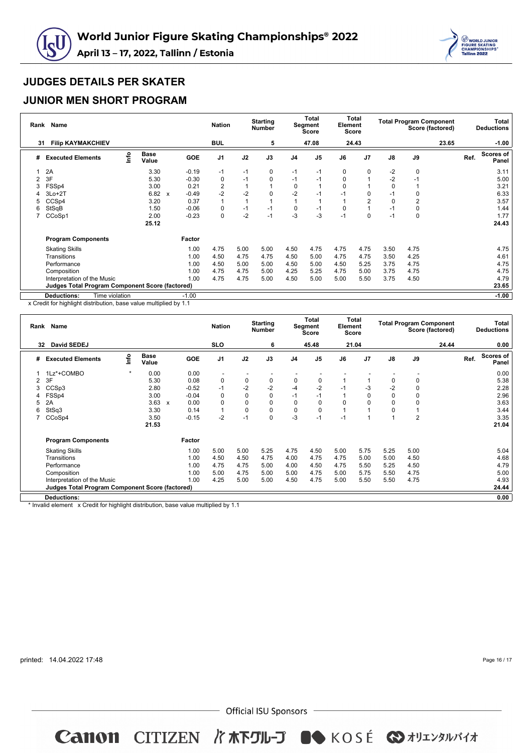



#### **JUNIOR MEN SHORT PROGRAM**

|    | Rank Name                                              |      |               |                                      | <b>Nation</b>  |      | <b>Starting</b><br><b>Number</b> |                | Total<br>Segment<br>Score | Element  | Total<br>Score |               | <b>Total Program Component</b><br>Score (factored) |       |      | Total<br><b>Deductions</b> |
|----|--------------------------------------------------------|------|---------------|--------------------------------------|----------------|------|----------------------------------|----------------|---------------------------|----------|----------------|---------------|----------------------------------------------------|-------|------|----------------------------|
| 31 | <b>Filip KAYMAKCHIEV</b>                               |      |               |                                      | <b>BUL</b>     |      | 5                                |                | 47.08                     |          | 24.43          |               |                                                    | 23.65 |      | $-1.00$                    |
| #  | <b>Executed Elements</b>                               | lnfo | Base<br>Value | <b>GOE</b>                           | J <sub>1</sub> | J2   | J3                               | J <sub>4</sub> | J <sub>5</sub>            | J6       | J <sub>7</sub> | $\mathsf{J}8$ | J9                                                 |       | Ref. | Scores of<br>Panel         |
|    | 2A                                                     |      | 3.30          | $-0.19$                              | $-1$           | $-1$ | 0                                | $-1$           | -1                        | $\Omega$ | $\Omega$       | $-2$          | 0                                                  |       |      | 3.11                       |
|    | 3F                                                     |      | 5.30          | $-0.30$                              | 0              | $-1$ | 0                                | $-1$           | -1                        | 0        |                | $-2$          | $-1$                                               |       |      | 5.00                       |
|    | FSSp4                                                  |      | 3.00          | 0.21                                 | 2              |      |                                  | 0              |                           | 0        |                | 0             |                                                    |       |      | 3.21                       |
|    | $3Lo+2T$                                               |      | 6.82          | $-0.49$<br>$\boldsymbol{\mathsf{x}}$ | $-2$           | $-2$ | 0                                | $-2$           | -1                        | $-1$     | 0              | $-1$          | 0                                                  |       |      | 6.33                       |
| 5  | CCS <sub>p4</sub>                                      |      | 3.20          | 0.37                                 | $\overline{1}$ |      |                                  |                |                           |          | 2              | 0             | $\overline{2}$                                     |       |      | 3.57                       |
| 6  | StSqB                                                  |      | 1.50          | $-0.06$                              | 0              | $-1$ | $-1$                             | 0              | -1                        | 0        |                | $-1$          | 0                                                  |       |      | 1.44                       |
|    | CCoSp1                                                 |      | 2.00          | $-0.23$                              | 0              | $-2$ | $-1$                             | -3             | $-3$                      | $-1$     | $\Omega$       | $-1$          | 0                                                  |       |      | 1.77                       |
|    |                                                        |      | 25.12         |                                      |                |      |                                  |                |                           |          |                |               |                                                    |       |      | 24.43                      |
|    | <b>Program Components</b>                              |      |               | Factor                               |                |      |                                  |                |                           |          |                |               |                                                    |       |      |                            |
|    | <b>Skating Skills</b>                                  |      |               | 1.00                                 | 4.75           | 5.00 | 5.00                             | 4.50           | 4.75                      | 4.75     | 4.75           | 3.50          | 4.75                                               |       |      | 4.75                       |
|    | Transitions                                            |      |               | 1.00                                 | 4.50           | 4.75 | 4.75                             | 4.50           | 5.00                      | 4.75     | 4.75           | 3.50          | 4.25                                               |       |      | 4.61                       |
|    | Performance                                            |      |               | 1.00                                 | 4.50           | 5.00 | 5.00                             | 4.50           | 5.00                      | 4.50     | 5.25           | 3.75          | 4.75                                               |       |      | 4.75                       |
|    | Composition                                            |      |               | 1.00                                 | 4.75           | 4.75 | 5.00                             | 4.25           | 5.25                      | 4.75     | 5.00           | 3.75          | 4.75                                               |       |      | 4.75                       |
|    | Interpretation of the Music                            |      |               | 1.00                                 | 4.75           | 4.75 | 5.00                             | 4.50           | 5.00                      | 5.00     | 5.50           | 3.75          | 4.50                                               |       |      | 4.79                       |
|    | <b>Judges Total Program Component Score (factored)</b> |      |               |                                      |                |      |                                  |                |                           |          |                |               |                                                    |       |      | 23.65                      |
|    | Time violation<br><b>Deductions:</b>                   |      |               | $-1.00$                              |                |      |                                  |                |                           |          |                |               |                                                    |       |      | $-1.00$                    |

x Credit for highlight distribution, base value multiplied by 1.1

| Rank | Name                                                   |         | <b>Nation</b>        |              | <b>Starting</b><br><b>Number</b> |                          | <b>Total</b><br>Segment<br>Score | Element | <b>Total</b><br><b>Score</b> |                |      | <b>Total Program Component</b><br>Score (factored) |               | Total<br><b>Deductions</b> |       |      |                           |
|------|--------------------------------------------------------|---------|----------------------|--------------|----------------------------------|--------------------------|----------------------------------|---------|------------------------------|----------------|------|----------------------------------------------------|---------------|----------------------------|-------|------|---------------------------|
| 32   | David SEDEJ                                            |         |                      |              |                                  | <b>SLO</b>               |                                  | 6       |                              | 45.48          |      | 21.04                                              |               |                            | 24.44 |      | 0.00                      |
| #    | <b>Executed Elements</b>                               | lnfo    | <b>Base</b><br>Value |              | <b>GOE</b>                       | J <sub>1</sub>           | J2                               | J3      | J <sub>4</sub>               | J <sub>5</sub> | J6   | J <sub>7</sub>                                     | $\mathsf{J}8$ | J9                         |       | Ref. | <b>Scores of</b><br>Panel |
|      | 1Lz*+COMBO                                             | $\star$ | 0.00                 |              | 0.00                             | $\overline{\phantom{a}}$ |                                  |         |                              |                |      |                                                    |               |                            |       |      | 0.00                      |
| 2    | 3F                                                     |         | 5.30                 |              | 0.08                             | 0                        | $\mathbf 0$                      | 0       | 0                            | 0              |      |                                                    | 0             | 0                          |       |      | 5.38                      |
| 3    | CCSp3                                                  |         | 2.80                 |              | $-0.52$                          | $-1$                     | $-2$                             | $-2$    | $-4$                         | $-2$           | $-1$ | $-3$                                               | $-2$          | $\mathbf 0$                |       |      | 2.28                      |
| 4    | FSSp4                                                  |         | 3.00                 |              | $-0.04$                          | 0                        | $\mathbf 0$                      | 0       | $-1$                         | $-1$           |      | 0                                                  | $\mathbf 0$   | 0                          |       |      | 2.96                      |
| 5    | 2A                                                     |         | 3.63                 | $\mathsf{x}$ | 0.00                             | 0                        | $\mathbf 0$                      | 0       | 0                            | $\Omega$       | 0    | $\Omega$                                           | $\mathbf 0$   | $\mathbf 0$                |       |      | 3.63                      |
| 6    | StSq3                                                  |         | 3.30                 |              | 0.14                             | 1                        | $\mathbf 0$                      | 0       | 0                            | $\Omega$       |      |                                                    | 0             |                            |       |      | 3.44                      |
|      | CCoSp4                                                 |         | 3.50                 |              | $-0.15$                          | $-2$                     | $-1$                             | 0       | $-3$                         | $-1$           | $-1$ |                                                    |               | $\overline{2}$             |       |      | 3.35                      |
|      |                                                        |         | 21.53                |              |                                  |                          |                                  |         |                              |                |      |                                                    |               |                            |       |      | 21.04                     |
|      | <b>Program Components</b>                              |         |                      |              | Factor                           |                          |                                  |         |                              |                |      |                                                    |               |                            |       |      |                           |
|      | <b>Skating Skills</b>                                  |         |                      |              | 1.00                             | 5.00                     | 5.00                             | 5.25    | 4.75                         | 4.50           | 5.00 | 5.75                                               | 5.25          | 5.00                       |       |      | 5.04                      |
|      | Transitions                                            |         |                      |              | 1.00                             | 4.50                     | 4.50                             | 4.75    | 4.00                         | 4.75           | 4.75 | 5.00                                               | 5.00          | 4.50                       |       |      | 4.68                      |
|      | Performance                                            |         |                      |              | 1.00                             | 4.75                     | 4.75                             | 5.00    | 4.00                         | 4.50           | 4.75 | 5.50                                               | 5.25          | 4.50                       |       |      | 4.79                      |
|      | Composition                                            |         |                      |              | 1.00                             | 5.00                     | 4.75                             | 5.00    | 5.00                         | 4.75           | 5.00 | 5.75                                               | 5.50          | 4.75                       |       |      | 5.00                      |
|      | Interpretation of the Music                            |         |                      |              | 1.00                             | 4.25                     | 5.00                             | 5.00    | 4.50                         | 4.75           | 5.00 | 5.50                                               | 5.50          | 4.75                       |       |      | 4.93                      |
|      | <b>Judges Total Program Component Score (factored)</b> |         |                      |              |                                  |                          |                                  |         |                              |                |      |                                                    |               |                            |       |      | 24.44                     |
|      | <b>Deductions:</b>                                     |         |                      |              |                                  |                          |                                  |         |                              |                |      |                                                    |               |                            |       |      | 0.00                      |

\* Invalid element x Credit for highlight distribution, base value multiplied by 1.1

printed: 14.04.2022 17:48

Page 16 / 17

 $-$  Official ISU Sponsors  $-$